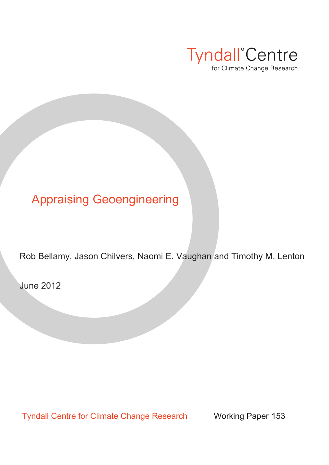

# Appraising Geoengineering

Rob Bellamy, Jason Chilvers, Naomi E. Vaughan and Timothy M. Lenton

June 2012

Tyndall Centre for Climate Change Research Working Paper 153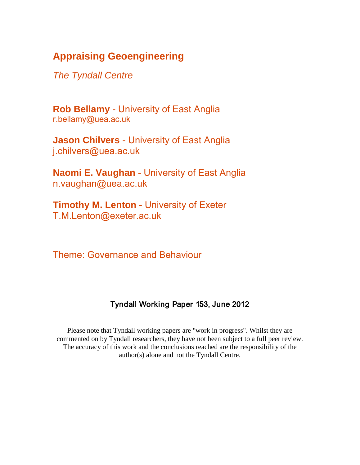# **Appraising Geoengineering**

*The Tyndall Centre*

**Rob Bellamy** - University of East Anglia r.bellamy@uea.ac.uk

**Jason Chilvers** - University of East Anglia j.chilvers@uea.ac.uk

**Naomi E. Vaughan** - University of East Anglia n.vaughan@uea.ac.uk

**Timothy M. Lenton** - University of Exeter T.M.Lenton@exeter.ac.uk

Theme: Governance and Behaviour

# Tyndall Working Paper 153, June 2012

Please note that Tyndall working papers are "work in progress". Whilst they are commented on by Tyndall researchers, they have not been subject to a full peer review. The accuracy of this work and the conclusions reached are the responsibility of the author(s) alone and not the Tyndall Centre.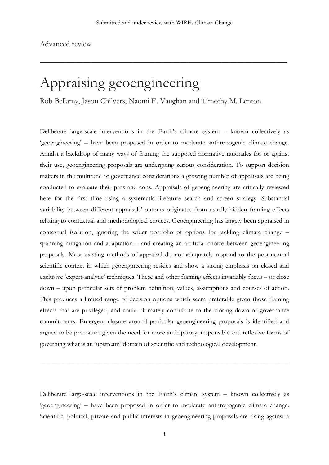\_\_\_\_\_\_\_\_\_\_\_\_\_\_\_\_\_\_\_\_\_\_\_\_\_\_\_\_\_\_\_\_\_\_\_\_\_\_\_\_\_\_\_\_\_\_\_\_\_\_\_\_\_\_\_\_\_\_\_\_\_\_\_\_

Advanced review

# Appraising geoengineering

Rob Bellamy, Jason Chilvers, Naomi E. Vaughan and Timothy M. Lenton

Deliberate large-scale interventions in the Earth's climate system – known collectively as 'geoengineering' – have been proposed in order to moderate anthropogenic climate change. Amidst a backdrop of many ways of framing the supposed normative rationales for or against their use, geoengineering proposals are undergoing serious consideration. To support decision makers in the multitude of governance considerations a growing number of appraisals are being conducted to evaluate their pros and cons. Appraisals of geoengineering are critically reviewed here for the first time using a systematic literature search and screen strategy. Substantial variability between different appraisals' outputs originates from usually hidden framing effects relating to contextual and methodological choices. Geoengineering has largely been appraised in contextual isolation, ignoring the wider portfolio of options for tackling climate change – spanning mitigation and adaptation – and creating an artificial choice between geoengineering proposals. Most existing methods of appraisal do not adequately respond to the post-normal scientific context in which geoengineering resides and show a strong emphasis on closed and exclusive 'expert-analytic' techniques. These and other framing effects invariably focus – or close down – upon particular sets of problem definition, values, assumptions and courses of action. This produces a limited range of decision options which seem preferable given those framing effects that are privileged, and could ultimately contribute to the closing down of governance commitments. Emergent closure around particular geoengineering proposals is identified and argued to be premature given the need for more anticipatory, responsible and reflexive forms of governing what is an 'upstream' domain of scientific and technological development.

Deliberate large-scale interventions in the Earth's climate system – known collectively as 'geoengineering' – have been proposed in order to moderate anthropogenic climate change. Scientific, political, private and public interests in geoengineering proposals are rising against a

\_\_\_\_\_\_\_\_\_\_\_\_\_\_\_\_\_\_\_\_\_\_\_\_\_\_\_\_\_\_\_\_\_\_\_\_\_\_\_\_\_\_\_\_\_\_\_\_\_\_\_\_\_\_\_\_\_\_\_\_\_\_\_\_\_\_\_\_\_\_\_\_\_\_\_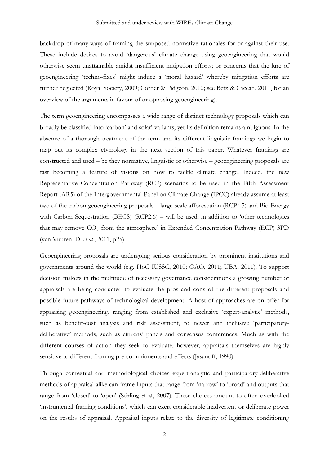backdrop of many ways of framing the supposed normative rationales for or against their use. These include desires to avoid 'dangerous' climate change using geoengineering that would otherwise seem unattainable amidst insufficient mitigation efforts; or concerns that the lure of geoengineering 'techno-fixes' might induce a 'moral hazard' whereby mitigation efforts are further neglected (Royal Society, 2009; Corner & Pidgeon, 2010; see Betz & Cacean, 2011, for an overview of the arguments in favour of or opposing geoengineering).

The term geoengineering encompasses a wide range of distinct technology proposals which can broadly be classified into 'carbon' and solar' variants, yet its definition remains ambiguous. In the absence of a thorough treatment of the term and its different linguistic framings we begin to map out its complex etymology in the next section of this paper. Whatever framings are constructed and used – be they normative, linguistic or otherwise – geoengineering proposals are fast becoming a feature of visions on how to tackle climate change. Indeed, the new Representative Concentration Pathway (RCP) scenarios to be used in the Fifth Assessment Report (AR5) of the Intergovernmental Panel on Climate Change (IPCC) already assume at least two of the carbon geoengineering proposals – large-scale afforestation (RCP4.5) and Bio-Energy with Carbon Sequestration (BECS) (RCP2.6) – will be used, in addition to 'other technologies that may remove CO<sub>2</sub> from the atmosphere' in Extended Concentration Pathway (ECP) 3PD (van Vuuren, D. *et al.*, 2011, p25).

Geoengineering proposals are undergoing serious consideration by prominent institutions and governments around the world (e.g. HoC IUSSC, 2010; GAO, 2011; UBA, 2011). To support decision makers in the multitude of necessary governance considerations a growing number of appraisals are being conducted to evaluate the pros and cons of the different proposals and possible future pathways of technological development. A host of approaches are on offer for appraising geoengineering, ranging from established and exclusive 'expert-analytic' methods, such as benefit-cost analysis and risk assessment, to newer and inclusive 'participatorydeliberative' methods, such as citizens' panels and consensus conferences. Much as with the different courses of action they seek to evaluate, however, appraisals themselves are highly sensitive to different framing pre-commitments and effects (Jasanoff, 1990).

Through contextual and methodological choices expert-analytic and participatory-deliberative methods of appraisal alike can frame inputs that range from 'narrow' to 'broad' and outputs that range from 'closed' to 'open' (Stirling *et al.*, 2007). These choices amount to often overlooked 'instrumental framing conditions', which can exert considerable inadvertent or deliberate power on the results of appraisal. Appraisal inputs relate to the diversity of legitimate conditioning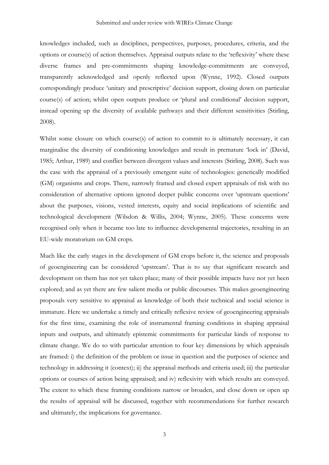knowledges included, such as disciplines, perspectives, purposes, procedures, criteria, and the options or course(s) of action themselves. Appraisal outputs relate to the 'reflexivity' where these diverse frames and pre-commitments shaping knowledge-commitments are conveyed, transparently acknowledged and openly reflected upon (Wynne, 1992). Closed outputs correspondingly produce 'unitary and prescriptive' decision support, closing down on particular course(s) of action; whilst open outputs produce or 'plural and conditional' decision support, instead opening up the diversity of available pathways and their different sensitivities (Stirling, 2008).

Whilst some closure on which course(s) of action to commit to is ultimately necessary, it can marginalise the diversity of conditioning knowledges and result in premature 'lock in' (David, 1985; Arthur, 1989) and conflict between divergent values and interests (Stirling, 2008). Such was the case with the appraisal of a previously emergent suite of technologies: genetically modified (GM) organisms and crops. There, narrowly framed and closed expert appraisals of risk with no consideration of alternative options ignored deeper public concerns over 'upstream questions' about the purposes, visions, vested interests, equity and social implications of scientific and technological development (Wilsdon & Willis, 2004; Wynne, 2005). These concerns were recognised only when it became too late to influence developmental trajectories, resulting in an EU-wide moratorium on GM crops.

Much like the early stages in the development of GM crops before it, the science and proposals of geoengineering can be considered 'upstream'. That is to say that significant research and development on them has not yet taken place; many of their possible impacts have not yet been explored; and as yet there are few salient media or public discourses. This makes geoengineering proposals very sensitive to appraisal as knowledge of both their technical and social science is immature. Here we undertake a timely and critically reflexive review of geoengineering appraisals for the first time, examining the role of instrumental framing conditions in shaping appraisal inputs and outputs, and ultimately epistemic commitments for particular kinds of response to climate change. We do so with particular attention to four key dimensions by which appraisals are framed: i) the definition of the problem or issue in question and the purposes of science and technology in addressing it (context); ii) the appraisal methods and criteria used; iii) the particular options or courses of action being appraised; and iv) reflexivity with which results are conveyed. The extent to which these framing conditions narrow or broaden, and close down or open up the results of appraisal will be discussed, together with recommendations for further research and ultimately, the implications for governance.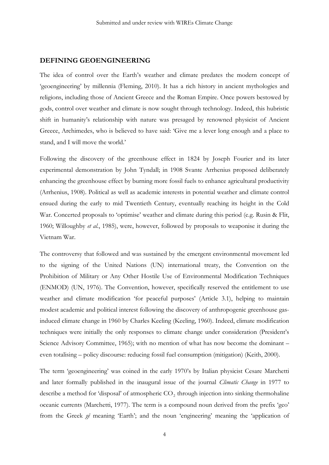# **DEFINING GEOENGINEERING**

The idea of control over the Earth's weather and climate predates the modern concept of 'geoengineering' by millennia (Fleming, 2010). It has a rich history in ancient mythologies and religions, including those of Ancient Greece and the Roman Empire. Once powers bestowed by gods, control over weather and climate is now sought through technology. Indeed, this hubristic shift in humanity's relationship with nature was presaged by renowned physicist of Ancient Greece, Archimedes, who is believed to have said: 'Give me a lever long enough and a place to stand, and I will move the world.'

Following the discovery of the greenhouse effect in 1824 by Joseph Fourier and its later experimental demonstration by John Tyndall; in 1908 Svante Arrhenius proposed deliberately enhancing the greenhouse effect by burning more fossil fuels to enhance agricultural productivity (Arrhenius, 1908). Political as well as academic interests in potential weather and climate control ensued during the early to mid Twentieth Century, eventually reaching its height in the Cold War. Concerted proposals to 'optimise' weather and climate during this period (e.g. Rusin & Flit, 1960; Willoughby *et al.*, 1985), were, however, followed by proposals to weaponise it during the Vietnam War.

The controversy that followed and was sustained by the emergent environmental movement led to the signing of the United Nations (UN) international treaty, the Convention on the Prohibition of Military or Any Other Hostile Use of Environmental Modification Techniques (ENMOD) (UN, 1976). The Convention, however, specifically reserved the entitlement to use weather and climate modification 'for peaceful purposes' (Article 3.1), helping to maintain modest academic and political interest following the discovery of anthropogenic greenhouse gasinduced climate change in 1960 by Charles Keeling (Keeling, 1960). Indeed, climate modification techniques were initially the only responses to climate change under consideration (President's Science Advisory Committee, 1965); with no mention of what has now become the dominant – even totalising – policy discourse: reducing fossil fuel consumption (mitigation) (Keith, 2000).

The term 'geoengineering' was coined in the early 1970's by Italian physicist Cesare Marchetti and later formally published in the inaugural issue of the journal *Climatic Change* in 1977 to describe a method for 'disposal' of atmospheric  $CO<sub>2</sub>$  through injection into sinking thermohaline oceanic currents (Marchetti, 1977). The term is a compound noun derived from the prefix 'geo' from the Greek *gê* meaning 'Earth'; and the noun 'engineering' meaning the 'application of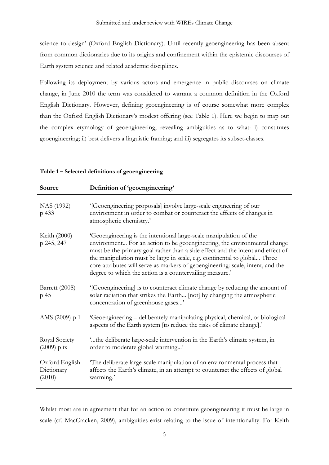science to design' (Oxford English Dictionary). Until recently geoengineering has been absent from common dictionaries due to its origins and confinement within the epistemic discourses of Earth system science and related academic disciplines.

Following its deployment by various actors and emergence in public discourses on climate change, in June 2010 the term was considered to warrant a common definition in the Oxford English Dictionary. However, defining geoengineering is of course somewhat more complex than the Oxford English Dictionary's modest offering (see Table 1). Here we begin to map out the complex etymology of geoengineering, revealing ambiguities as to what: i) constitutes geoengineering; ii) best delivers a linguistic framing; and iii) segregates its subset-classes.

| Source                                 | Definition of 'geoengineering'                                                                                                                                                                                                                                                                                                                                                                                                                                |
|----------------------------------------|---------------------------------------------------------------------------------------------------------------------------------------------------------------------------------------------------------------------------------------------------------------------------------------------------------------------------------------------------------------------------------------------------------------------------------------------------------------|
| NAS (1992)<br>p 433                    | '[Geoengineering proposals] involve large-scale engineering of our<br>environment in order to combat or counteract the effects of changes in<br>atmospheric chemistry.'                                                                                                                                                                                                                                                                                       |
| Keith (2000)<br>p 245, 247             | 'Geoengineering is the intentional large-scale manipulation of the<br>environment For an action to be geoengineering, the environmental change<br>must be the primary goal rather than a side effect and the intent and effect of<br>the manipulation must be large in scale, e.g. continental to global Three<br>core attributes will serve as markers of geoengineering: scale, intent, and the<br>degree to which the action is a countervailing measure.' |
| Barrett (2008)<br>p 45                 | '[Geoengineering] is to counteract climate change by reducing the amount of<br>solar radiation that strikes the Earth [not] by changing the atmospheric<br>concentration of greenhouse gases'                                                                                                                                                                                                                                                                 |
| AMS (2009) p 1                         | 'Geoengineering – deliberately manipulating physical, chemical, or biological<br>aspects of the Earth system [to reduce the risks of climate change].'                                                                                                                                                                                                                                                                                                        |
| Royal Society<br>$(2009)$ p ix         | "the deliberate large-scale intervention in the Earth's climate system, in<br>order to moderate global warming'                                                                                                                                                                                                                                                                                                                                               |
| Oxford English<br>Dictionary<br>(2010) | The deliberate large-scale manipulation of an environmental process that<br>affects the Earth's climate, in an attempt to counteract the effects of global<br>warming.'                                                                                                                                                                                                                                                                                       |

| Table 1 - Selected definitions of geoengineering |  |  |  |  |
|--------------------------------------------------|--|--|--|--|
|--------------------------------------------------|--|--|--|--|

Whilst most are in agreement that for an action to constitute geoengineering it must be large in scale (cf. MacCracken, 2009), ambiguities exist relating to the issue of intentionality. For Keith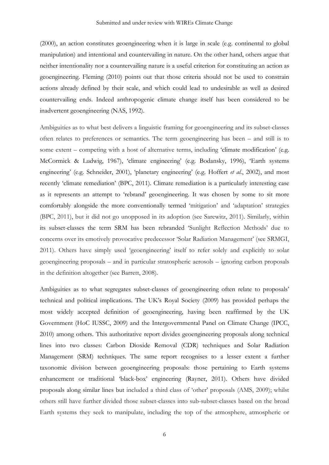(2000), an action constitutes geoengineering when it is large in scale (e.g. continental to global manipulation) and intentional and countervailing in nature. On the other hand, others argue that neither intentionality nor a countervailing nature is a useful criterion for constituting an action as geoengineering. Fleming (2010) points out that those criteria should not be used to constrain actions already defined by their scale, and which could lead to undesirable as well as desired countervailing ends. Indeed anthropogenic climate change itself has been considered to be inadvertent geoengineering (NAS, 1992).

Ambiguities as to what best delivers a linguistic framing for geoengineering and its subset-classes often relates to preferences or semantics. The term geoengineering has been – and still is to some extent – competing with a host of alternative terms, including 'climate modification' (e.g. McCormick & Ludwig, 1967), 'climate engineering' (e.g. Bodansky, 1996), 'Earth systems engineering' (e.g. Schneider, 2001), 'planetary engineering' (e.g. Hoffert *et al.*, 2002), and most recently 'climate remediation' (BPC, 2011). Climate remediation is a particularly interesting case as it represents an attempt to 'rebrand' geoengineering. It was chosen by some to sit more comfortably alongside the more conventionally termed 'mitigation' and 'adaptation' strategies (BPC, 2011), but it did not go unopposed in its adoption (see Sarewitz, 2011). Similarly, within its subset-classes the term SRM has been rebranded 'Sunlight Reflection Methods' due to concerns over its emotively provocative predecessor 'Solar Radiation Management' (see SRMGI, 2011). Others have simply used 'geoengineering' itself to refer solely and explicitly to solar geoengineering proposals – and in particular stratospheric aerosols – ignoring carbon proposals in the definition altogether (see Barrett, 2008).

Ambiguities as to what segregates subset-classes of geoengineering often relate to proposals' technical and political implications. The UK's Royal Society (2009) has provided perhaps the most widely accepted definition of geoengineering, having been reaffirmed by the UK Government (HoC IUSSC, 2009) and the Intergovernmental Panel on Climate Change (IPCC, 2010) among others. This authoritative report divides geoengineering proposals along technical lines into two classes: Carbon Dioxide Removal (CDR) techniques and Solar Radiation Management (SRM) techniques. The same report recognises to a lesser extent a further taxonomic division between geoengineering proposals: those pertaining to Earth systems enhancement or traditional 'black-box' engineering (Rayner, 2011). Others have divided proposals along similar lines but included a third class of 'other' proposals (AMS, 2009); whilst others still have further divided those subset-classes into sub-subset-classes based on the broad Earth systems they seek to manipulate, including the top of the atmosphere, atmospheric or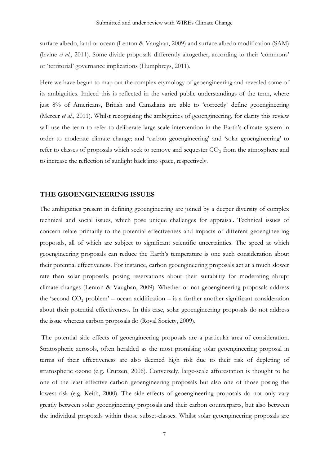surface albedo, land or ocean (Lenton & Vaughan, 2009) and surface albedo modification (SAM) (Irvine *et al.*, 2011). Some divide proposals differently altogether, according to their 'commons' or 'territorial' governance implications (Humphreys, 2011).

Here we have begun to map out the complex etymology of geoengineering and revealed some of its ambiguities. Indeed this is reflected in the varied public understandings of the term, where just 8% of Americans, British and Canadians are able to 'correctly' define geoengineering (Mercer *et al.*, 2011). Whilst recognising the ambiguities of geoengineering, for clarity this review will use the term to refer to deliberate large-scale intervention in the Earth's climate system in order to moderate climate change; and 'carbon geoengineering' and 'solar geoengineering' to refer to classes of proposals which seek to remove and sequester  $CO<sub>2</sub>$  from the atmosphere and to increase the reflection of sunlight back into space, respectively.

## **THE GEOENGINEERING ISSUES**

The ambiguities present in defining geoengineering are joined by a deeper diversity of complex technical and social issues, which pose unique challenges for appraisal. Technical issues of concern relate primarily to the potential effectiveness and impacts of different geoengineering proposals, all of which are subject to significant scientific uncertainties. The speed at which geoengineering proposals can reduce the Earth's temperature is one such consideration about their potential effectiveness. For instance, carbon geoengineering proposals act at a much slower rate than solar proposals, posing reservations about their suitability for moderating abrupt climate changes (Lenton & Vaughan, 2009). Whether or not geoengineering proposals address the 'second  $CO_2$  problem' – ocean acidification – is a further another significant consideration about their potential effectiveness. In this case, solar geoengineering proposals do not address the issue whereas carbon proposals do (Royal Society, 2009).

The potential side effects of geoengineering proposals are a particular area of consideration. Stratospheric aerosols, often heralded as the most promising solar geoengineering proposal in terms of their effectiveness are also deemed high risk due to their risk of depleting of stratospheric ozone (e.g. Crutzen, 2006). Conversely, large-scale afforestation is thought to be one of the least effective carbon geoengineering proposals but also one of those posing the lowest risk (e.g. Keith, 2000). The side effects of geoengineering proposals do not only vary greatly between solar geoengineering proposals and their carbon counterparts, but also between the individual proposals within those subset-classes. Whilst solar geoengineering proposals are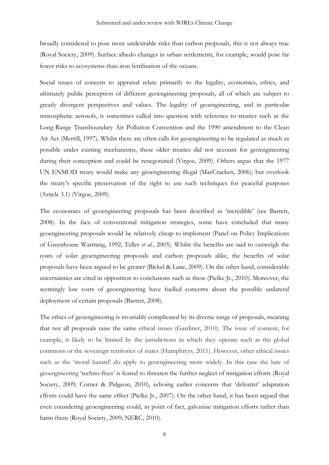broadly considered to pose more undesirable risks than carbon proposals, this is not always true (Royal Society, 2009). Surface albedo changes in urban settlements, for example, would pose far fewer risks to ecosystems than iron fertilisation of the oceans.

Social issues of concern to appraisal relate primarily to the legality, economics, ethics, and ultimately public perception of different geoengineering proposals, all of which are subject to greatly divergent perspectives and values. The legality of geoengineering, and in particular stratospheric aerosols, is sometimes called into question with reference to treaties such as the Long-Range Transboundary Air Pollution Convention and the 1990 amendment to the Clean Air Act (Merrill, 1997). Whilst there are often calls for geoengineering to be regulated as much as possible under existing mechanisms, these older treaties did not account for geoengineering during their conception and could be renegotiated (Virgoe, 2009). Others argue that the 1977 UN ENMOD treaty would make any geoengineering illegal (MacCracken, 2006); but overlook the treaty's specific preservation of the right to use such techniques for peaceful purposes (Article 3.1) (Virgoe, 2009).

The economics of geoengineering proposals has been described as 'incredible' (see Barrett, 2008). In the face of conventional mitigation strategies, some have concluded that many geoengineering proposals would be relatively cheap to implement (Panel on Policy Implications of Greenhouse Warming, 1992; Teller *et al.*, 2003). Whilst the benefits are said to outweigh the costs of solar geoengineering proposals and carbon proposals alike, the benefits of solar proposals have been argued to be greater (Bickel & Lane, 2009). On the other hand, considerable uncertainties are cited in opposition to conclusions such as these (Pielke Jr., 2010). Moreover, the seemingly low costs of geoengineering have fuelled concerns about the possible unilateral deployment of certain proposals (Barrett, 2008).

The ethics of geoengineering is invariably complicated by its diverse range of proposals, meaning that not all proposals raise the same ethical issues (Gardiner, 2010). The issue of consent, for example, is likely to be limited by the jurisdictions in which they operate such as the global commons or the sovereign territories of states (Humphreys, 2011). However, other ethical issues such as the 'moral hazard' do apply to geoengineering more widely. In this case the lure of geoengineering 'techno-fixes' is feared to threaten the further neglect of mitigation efforts (Royal Society, 2009; Corner & Pidgeon, 2010), echoing earlier concerns that 'defeatist' adaptation efforts could have the same effect (Pielke Jr., 2007). On the other hand, it has been argued that even considering geoengineering could, in point of fact, galvanise mitigation efforts rather than harm them (Royal Society, 2009; NERC, 2010).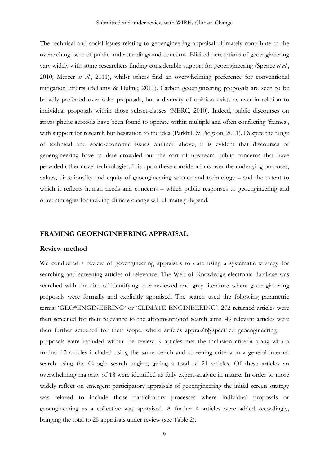The technical and social issues relating to geoengineering appraisal ultimately contribute to the overarching issue of public understandings and concerns. Elicited perceptions of geoengineering vary widely with some researchers finding considerable support for geoengineering (Spence *et al.*, 2010; Mercer *et al.*, 2011), whilst others find an overwhelming preference for conventional mitigation efforts (Bellamy & Hulme, 2011). Carbon geoengineering proposals are seen to be broadly preferred over solar proposals, but a diversity of opinion exists as ever in relation to individual proposals within those subset-classes (NERC, 2010). Indeed, public discourses on stratospheric aerosols have been found to operate within multiple and often conflicting 'frames', with support for research but hesitation to the idea (Parkhill & Pidgeon, 2011). Despite the range of technical and socio-economic issues outlined above, it is evident that discourses of geoengineering have to date crowded out the sort of upstream public concerns that have pervaded other novel technologies. It is upon these considerations over the underlying purposes, values, directionality and equity of geoengineering science and technology – and the extent to which it reflects human needs and concerns – which public responses to geoengineering and other strategies for tackling climate change will ultimately depend.

# **FRAMING GEOENGINEERING APPRAISAL**

#### **Review method**

We conducted a review of geoengineering appraisals to date using a systematic strategy for searching and screening articles of relevance. The Web of Knowledge electronic database was searched with the aim of identifying peer-reviewed and grey literature where geoengineering proposals were formally and explicitly appraised. The search used the following parametric terms: 'GEO\*ENGINEERING' or 'CLIMATE ENGINEERING'. 272 returned articles were then screened for their relevance to the aforementioned search aims. 49 relevant articles were then further screened for their scope, where articles appraising specified geoengineering proposals were included within the review. 9 articles met the inclusion criteria along with a further 12 articles included using the same search and screening criteria in a general internet search using the Google search engine, giving a total of 21 articles. Of these articles an overwhelming majority of 18 were identified as fully expert-analytic in nature. In order to more widely reflect on emergent participatory appraisals of geoengineering the initial screen strategy was relaxed to include those participatory processes where individual proposals or geoengineering as a collective was appraised. A further 4 articles were added accordingly, bringing the total to 25 appraisals under review (see Table 2).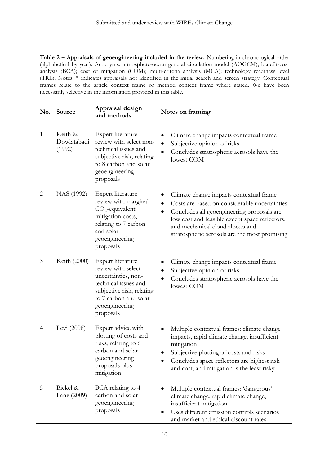**Table 2 – Appraisals of geoengineering included in the review.** Numbering in chronological order (alphabetical by year). Acronyms: atmosphere-ocean general circulation model (AOGCM); benefit-cost analysis (BCA); cost of mitigation (COM); multi-criteria analysis (MCA); technology readiness level (TRL). Notes: \* indicates appraisals not identified in the initial search and screen strategy. Contextual frames relate to the article context frame or method context frame where stated. We have been necessarily selective in the information provided in this table.

| No.          | Source                           | Appraisal design<br>and methods                                                                                                                                             | Notes on framing                                                                                                                                                                                                                                                             |
|--------------|----------------------------------|-----------------------------------------------------------------------------------------------------------------------------------------------------------------------------|------------------------------------------------------------------------------------------------------------------------------------------------------------------------------------------------------------------------------------------------------------------------------|
| $\mathbf{1}$ | Keith &<br>Dowlatabadi<br>(1992) | Expert literature<br>review with select non-<br>technical issues and<br>subjective risk, relating<br>to 8 carbon and solar<br>geoengineering<br>proposals                   | Climate change impacts contextual frame<br>Subjective opinion of risks<br>Concludes stratospheric aerosols have the<br>lowest COM                                                                                                                                            |
| 2            | NAS (1992)                       | Expert literature<br>review with marginal<br>$CO2$ -equivalent<br>mitigation costs,<br>relating to 7 carbon<br>and solar<br>geoengineering<br>proposals                     | Climate change impacts contextual frame<br>Costs are based on considerable uncertainties<br>Concludes all geoengineering proposals are<br>low cost and feasible except space reflectors,<br>and mechanical cloud albedo and<br>stratospheric aerosols are the most promising |
| 3            | Keith (2000)                     | Expert literature<br>review with select<br>uncertainties, non-<br>technical issues and<br>subjective risk, relating<br>to 7 carbon and solar<br>geoengineering<br>proposals | Climate change impacts contextual frame<br>Subjective opinion of risks<br>Concludes stratospheric aerosols have the<br>lowest COM                                                                                                                                            |
| 4            | Levi (2008)                      | Expert advice with<br>plotting of costs and<br>risks, relating to 6<br>carbon and solar<br>geoengineering<br>proposals plus<br>mitigation                                   | Multiple contextual frames: climate change<br>impacts, rapid climate change, insufficient<br>mitigation<br>Subjective plotting of costs and risks<br>Concludes space reflectors are highest risk<br>and cost, and mitigation is the least risky                              |
| 5            | Bickel &<br>Lane (2009)          | BCA relating to 4<br>carbon and solar<br>geoengineering<br>proposals                                                                                                        | Multiple contextual frames: 'dangerous'<br>climate change, rapid climate change,<br>insufficient mitigation<br>Uses different emission controls scenarios<br>and market and ethical discount rates                                                                           |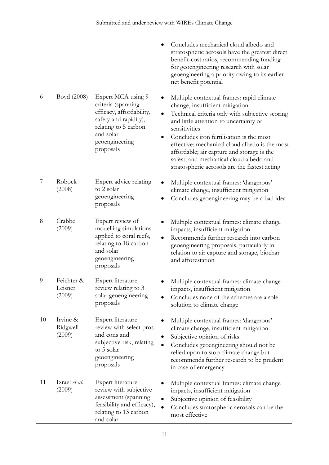|    |                                 |                                                                                                                                                                   | Concludes mechanical cloud albedo and<br>stratospheric aerosols have the greatest direct<br>benefit-cost ratios, recommending funding<br>for geoengineering research with solar<br>geoengineering a priority owing to its earlier<br>net benefit potential                                                                                                                                                                         |
|----|---------------------------------|-------------------------------------------------------------------------------------------------------------------------------------------------------------------|------------------------------------------------------------------------------------------------------------------------------------------------------------------------------------------------------------------------------------------------------------------------------------------------------------------------------------------------------------------------------------------------------------------------------------|
| 6  | Boyd (2008)                     | Expert MCA using 9<br>criteria (spanning<br>efficacy, affordability,<br>safety and rapidity),<br>relating to 5 carbon<br>and solar<br>geoengineering<br>proposals | Multiple contextual frames: rapid climate<br>change, insufficient mitigation<br>Technical criteria only with subjective scoring<br>and little attention to uncertainty or<br>sensitivities<br>Concludes iron fertilisation is the most<br>effective; mechanical cloud albedo is the most<br>affordable; air capture and storage is the<br>safest; and mechanical cloud albedo and<br>stratospheric aerosols are the fastest acting |
| 7  | Robock<br>(2008)                | Expert advice relating<br>to 2 solar<br>geoengineering<br>proposals                                                                                               | Multiple contextual frames: 'dangerous'<br>climate change, insufficient mitigation<br>Concludes geoengineering may be a bad idea                                                                                                                                                                                                                                                                                                   |
| 8  | Crabbe<br>(2009)                | Expert review of<br>modelling simulations<br>applied to coral reefs,<br>relating to 18 carbon<br>and solar<br>geoengineering<br>proposals                         | Multiple contextual frames: climate change<br>impacts, insufficient mitigation<br>Recommends further research into carbon<br>geoengineering proposals, particularly in<br>relation to air capture and storage, biochar<br>and afforestation                                                                                                                                                                                        |
| 9  | Feichter &<br>Leisner<br>(2009) | Expert literature<br>review relating to 3<br>solar geoengineering<br>proposals                                                                                    | Multiple contextual frames: climate change<br>impacts, insufficient mitigation<br>Concludes none of the schemes are a sole<br>solution to climate change                                                                                                                                                                                                                                                                           |
| 10 | Irvine &<br>Ridgwell<br>(2009)  | Expert literature<br>review with select pros<br>and cons and<br>subjective risk, relating<br>to 5 solar<br>geoengineering<br>proposals                            | Multiple contextual frames: 'dangerous'<br>climate change, insufficient mitigation<br>Subjective opinion of risks<br>Concludes geoengineering should not be<br>relied upon to stop climate change but<br>recommends further research to be prudent<br>in case of emergency                                                                                                                                                         |
| 11 | Izrael et al.<br>(2009)         | Expert literature<br>review with subjective<br>assessment (spanning<br>feasibility and efficacy),<br>relating to 13 carbon<br>and solar                           | Multiple contextual frames: climate change<br>impacts, insufficient mitigation<br>Subjective opinion of feasibility<br>Concludes stratospheric aerosols can be the<br>most effective                                                                                                                                                                                                                                               |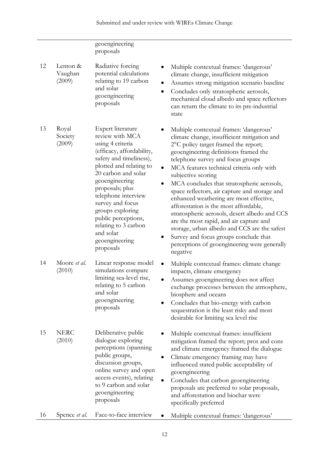|    |                               | geoengineering<br>proposals                                                                                                                                                                                                                                                                                                                                       |                                                                                                                                                                                                                                                                                                                                                                                                                                                                                                                                                                                                                                                                                                                     |
|----|-------------------------------|-------------------------------------------------------------------------------------------------------------------------------------------------------------------------------------------------------------------------------------------------------------------------------------------------------------------------------------------------------------------|---------------------------------------------------------------------------------------------------------------------------------------------------------------------------------------------------------------------------------------------------------------------------------------------------------------------------------------------------------------------------------------------------------------------------------------------------------------------------------------------------------------------------------------------------------------------------------------------------------------------------------------------------------------------------------------------------------------------|
| 12 | Lenton &<br>Vaughan<br>(2009) | Radiative forcing<br>potential calculations<br>relating to 19 carbon<br>and solar<br>geoengineering<br>proposals                                                                                                                                                                                                                                                  | Multiple contextual frames: 'dangerous'<br>climate change, insufficient mitigation<br>Assumes strong mitigation scenario baseline<br>Concludes only stratospheric aerosols,<br>mechanical cloud albedo and space reflectors<br>can return the climate to its pre-industrial<br>state                                                                                                                                                                                                                                                                                                                                                                                                                                |
| 13 | Royal<br>Society<br>(2009)    | Expert literature<br>review with MCA<br>using 4 criteria<br>(efficacy, affordability,<br>safety and timeliness),<br>plotted and relating to<br>20 carbon and solar<br>geoengineering<br>proposals; plus<br>telephone interview<br>survey and focus<br>groups exploring<br>public perceptions,<br>relating to 3 carbon<br>and solar<br>geoengineering<br>proposals | Multiple contextual frames: 'dangerous'<br>climate change, insufficient mitigation and<br>2°C policy target framed the report;<br>geoengineering definitions framed the<br>telephone survey and focus groups<br>MCA features technical criteria only with<br>subjective scoring<br>MCA concludes that stratospheric aerosols,<br>space reflectors, air capture and storage and<br>enhanced weathering are most effective,<br>afforestation is the most affordable,<br>stratospheric aerosols, desert albedo and CCS<br>are the most rapid, and air capture and<br>storage, urban albedo and CCS are the safest<br>Survey and focus groups conclude that<br>perceptions of geoengineering were generally<br>negative |
| 14 | Moore et al.<br>(2010)        | Linear response model<br>simulations compare<br>limiting sea-level rise,<br>relating to 5 carbon<br>and solar<br>geoengineering<br>proposals                                                                                                                                                                                                                      | Multiple contextual frames: climate change<br>impacts, climate emergency<br>Assumes geoengineering does not affect<br>exchange processes between the atmosphere,<br>biosphere and oceans<br>Concludes that bio-energy with carbon<br>sequestration is the least risky and most<br>desirable for limiting sea level rise                                                                                                                                                                                                                                                                                                                                                                                             |
| 15 | <b>NERC</b><br>(2010)         | Deliberative public<br>dialogue exploring<br>perceptions (spanning<br>public groups,<br>discussion groups,<br>online survey and open<br>access events), relating<br>to 9 carbon and solar<br>geoengineering<br>proposals                                                                                                                                          | Multiple contextual frames: insufficient<br>mitigation framed the report; pros and cons<br>and climate emergency framed the dialogue<br>Climate emergency framing may have<br>influenced stated public acceptability of<br>geoengineering<br>Concludes that carbon geoengineering<br>proposals are preferred to solar proposals,<br>and afforestation and biochar were<br>specifically preferred                                                                                                                                                                                                                                                                                                                    |
| 16 | Spence et al.                 | Face-to-face interview                                                                                                                                                                                                                                                                                                                                            | Multiple contextual frames: 'dangerous'                                                                                                                                                                                                                                                                                                                                                                                                                                                                                                                                                                                                                                                                             |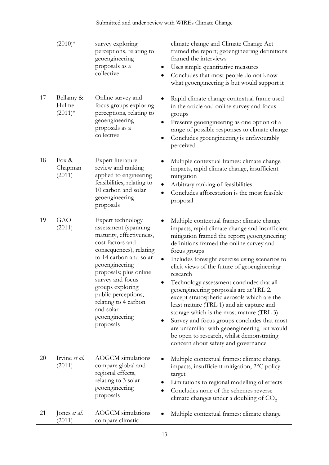|    | $(2010)*$                       | survey exploring<br>perceptions, relating to<br>geoengineering<br>proposals as a<br>collective                                                                                                                                                                                                                                | climate change and Climate Change Act<br>framed the report; geoengineering definitions<br>framed the interviews<br>Uses simple quantitative measures<br>Concludes that most people do not know<br>what geoengineering is but would support it                                                                                                                                                                                                                                                                                                                                                                                                                                                                                          |
|----|---------------------------------|-------------------------------------------------------------------------------------------------------------------------------------------------------------------------------------------------------------------------------------------------------------------------------------------------------------------------------|----------------------------------------------------------------------------------------------------------------------------------------------------------------------------------------------------------------------------------------------------------------------------------------------------------------------------------------------------------------------------------------------------------------------------------------------------------------------------------------------------------------------------------------------------------------------------------------------------------------------------------------------------------------------------------------------------------------------------------------|
| 17 | Bellamy &<br>Hulme<br>$(2011)*$ | Online survey and<br>focus groups exploring<br>perceptions, relating to<br>geoengineering<br>proposals as a<br>collective                                                                                                                                                                                                     | Rapid climate change contextual frame used<br>in the article and online survey and focus<br>groups<br>Presents geoengineering as one option of a<br>range of possible responses to climate change<br>Concludes geoengineering is unfavourably<br>perceived                                                                                                                                                                                                                                                                                                                                                                                                                                                                             |
| 18 | Fox $\&$<br>Chapman<br>(2011)   | Expert literature<br>review and ranking<br>applied to engineering<br>feasibilities, relating to<br>10 carbon and solar<br>geoengineering<br>proposals                                                                                                                                                                         | Multiple contextual frames: climate change<br>impacts, rapid climate change, insufficient<br>mitigation<br>Arbitrary ranking of feasibilities<br>Concludes afforestation is the most feasible<br>proposal                                                                                                                                                                                                                                                                                                                                                                                                                                                                                                                              |
| 19 | GAO<br>(2011)                   | Expert technology<br>assessment (spanning<br>maturity, effectiveness,<br>cost factors and<br>consequences), relating<br>to 14 carbon and solar<br>geoengineering<br>proposals; plus online<br>survey and focus<br>groups exploring<br>public perceptions,<br>relating to 4 carbon<br>and solar<br>geoengineering<br>proposals | Multiple contextual frames: climate change<br>impacts, rapid climate change and insufficient<br>mitigation framed the report; geoengineering<br>definitions framed the online survey and<br>focus groups<br>Includes foresight exercise using scenarios to<br>elicit views of the future of geoengineering<br>research<br>Technology assessment concludes that all<br>geoengineering proposals are at TRL 2,<br>except stratospheric aerosols which are the<br>least mature (TRL 1) and air capture and<br>storage which is the most mature (TRL 3)<br>Survey and focus groups concludes that most<br>are unfamiliar with geoengineering but would<br>be open to research, whilst demonstrating<br>concern about safety and governance |
| 20 | Irvine et al.<br>(2011)         | <b>AOGCM</b> simulations<br>compare global and<br>regional effects,<br>relating to 3 solar<br>geoengineering<br>proposals                                                                                                                                                                                                     | Multiple contextual frames: climate change<br>impacts, insufficient mitigation, 2°C policy<br>target<br>Limitations to regional modelling of effects<br>Concludes none of the schemes reverse<br>climate changes under a doubling of $CO2$                                                                                                                                                                                                                                                                                                                                                                                                                                                                                             |
| 21 | Jones et al.<br>(2011)          | <b>AOGCM</b> simulations<br>compare climatic                                                                                                                                                                                                                                                                                  | Multiple contextual frames: climate change                                                                                                                                                                                                                                                                                                                                                                                                                                                                                                                                                                                                                                                                                             |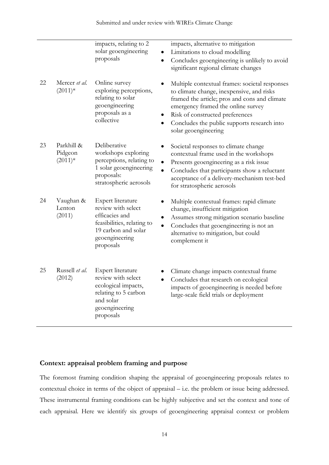|    |                                    | impacts, relating to 2<br>solar geoengineering<br>proposals                                                                                    | impacts, alternative to mitigation<br>Limitations to cloud modelling<br>Concludes geoengineering is unlikely to avoid<br>significant regional climate changes                                                                                                                                |
|----|------------------------------------|------------------------------------------------------------------------------------------------------------------------------------------------|----------------------------------------------------------------------------------------------------------------------------------------------------------------------------------------------------------------------------------------------------------------------------------------------|
| 22 | Mercer et al.<br>$(2011)*$         | Online survey<br>exploring perceptions,<br>relating to solar<br>geoengineering<br>proposals as a<br>collective                                 | Multiple contextual frames: societal responses<br>to climate change, inexpensive, and risks<br>framed the article; pros and cons and climate<br>emergency framed the online survey<br>Risk of constructed preferences<br>Concludes the public supports research into<br>solar geoengineering |
| 23 | Parkhill &<br>Pidgeon<br>$(2011)*$ | Deliberative<br>workshops exploring<br>perceptions, relating to<br>$\bullet$<br>1 solar geoengineering<br>proposals:<br>stratospheric aerosols | Societal responses to climate change<br>contextual frame used in the workshops<br>Presents geoengineering as a risk issue<br>Concludes that participants show a reluctant<br>acceptance of a delivery-mechanism test-bed<br>for stratospheric aerosols                                       |
| 24 | Vaughan &<br>Lenton<br>(2011)      | Expert literature<br>review with select<br>efficacies and<br>feasibilities, relating to<br>19 carbon and solar<br>geoengineering<br>proposals  | Multiple contextual frames: rapid climate<br>change, insufficient mitigation<br>Assumes strong mitigation scenario baseline<br>Concludes that geoengineering is not an<br>alternative to mitigation, but could<br>complement it                                                              |
| 25 | Russell et al.<br>(2012)           | Expert literature<br>review with select<br>ecological impacts,<br>relating to 5 carbon<br>and solar<br>geoengineering<br>proposals             | Climate change impacts contextual frame<br>Concludes that research on ecological<br>impacts of geoengineering is needed before<br>large-scale field trials or deployment                                                                                                                     |

# **Context: appraisal problem framing and purpose**

The foremost framing condition shaping the appraisal of geoengineering proposals relates to contextual choice in terms of the object of appraisal – i.e. the problem or issue being addressed. These instrumental framing conditions can be highly subjective and set the context and tone of each appraisal. Here we identify six groups of geoengineering appraisal context or problem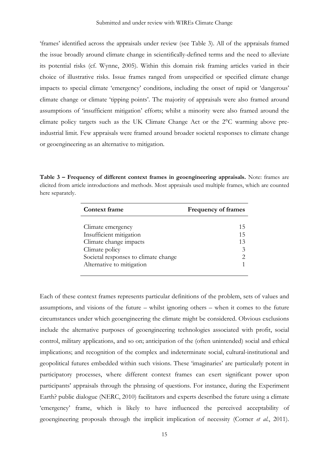'frames' identified across the appraisals under review (see Table 3). All of the appraisals framed the issue broadly around climate change in scientifically-defined terms and the need to alleviate its potential risks (cf. Wynne, 2005). Within this domain risk framing articles varied in their choice of illustrative risks. Issue frames ranged from unspecified or specified climate change impacts to special climate 'emergency' conditions, including the onset of rapid or 'dangerous' climate change or climate 'tipping points'. The majority of appraisals were also framed around assumptions of 'insufficient mitigation' efforts; whilst a minority were also framed around the climate policy targets such as the UK Climate Change Act or the 2°C warming above preindustrial limit. Few appraisals were framed around broader societal responses to climate change or geoengineering as an alternative to mitigation.

**Table 3 – Frequency of different context frames in geoengineering appraisals.** Note: frames are elicited from article introductions and methods. Most appraisals used multiple frames, which are counted here separately.

| <b>Context frame</b>                 | <b>Frequency of frames</b>                                                                                                                                      |
|--------------------------------------|-----------------------------------------------------------------------------------------------------------------------------------------------------------------|
|                                      |                                                                                                                                                                 |
| Climate emergency                    | 15                                                                                                                                                              |
| Insufficient mitigation              | 15                                                                                                                                                              |
| Climate change impacts               | 13                                                                                                                                                              |
| Climate policy                       | 3                                                                                                                                                               |
| Societal responses to climate change | $\mathcal{D}_{\mathcal{A}}^{\mathcal{A}}(\mathcal{A})=\mathcal{D}_{\mathcal{A}}^{\mathcal{A}}(\mathcal{A})\mathcal{D}_{\mathcal{A}}^{\mathcal{A}}(\mathcal{A})$ |
| Alternative to mitigation            |                                                                                                                                                                 |

Each of these context frames represents particular definitions of the problem, sets of values and assumptions, and visions of the future – whilst ignoring others – when it comes to the future circumstances under which geoengineering the climate might be considered. Obvious exclusions include the alternative purposes of geoengineering technologies associated with profit, social control, military applications, and so on; anticipation of the (often unintended) social and ethical implications; and recognition of the complex and indeterminate social, cultural-institutional and geopolitical futures embedded within such visions. These 'imaginaries' are particularly potent in participatory processes, where different context frames can exert significant power upon participants' appraisals through the phrasing of questions. For instance, during the Experiment Earth? public dialogue (NERC, 2010) facilitators and experts described the future using a climate 'emergency' frame, which is likely to have influenced the perceived acceptability of geoengineering proposals through the implicit implication of necessity (Corner *et al.*, 2011).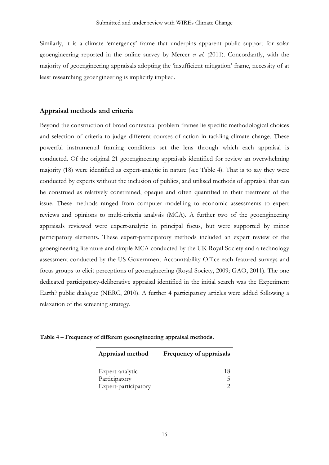Similarly, it is a climate 'emergency' frame that underpins apparent public support for solar geoengineering reported in the online survey by Mercer *et al.* (2011). Concordantly, with the majority of geoengineering appraisals adopting the 'insufficient mitigation' frame, necessity of at least researching geoengineering is implicitly implied.

## **Appraisal methods and criteria**

Beyond the construction of broad contextual problem frames lie specific methodological choices and selection of criteria to judge different courses of action in tackling climate change. These powerful instrumental framing conditions set the lens through which each appraisal is conducted. Of the original 21 geoengineering appraisals identified for review an overwhelming majority (18) were identified as expert-analytic in nature (see Table 4). That is to say they were conducted by experts without the inclusion of publics, and utilised methods of appraisal that can be construed as relatively constrained, opaque and often quantified in their treatment of the issue. These methods ranged from computer modelling to economic assessments to expert reviews and opinions to multi-criteria analysis (MCA). A further two of the geoengineering appraisals reviewed were expert-analytic in principal focus, but were supported by minor participatory elements. These expert-participatory methods included an expert review of the geoengineering literature and simple MCA conducted by the UK Royal Society and a technology assessment conducted by the US Government Accountability Office each featured surveys and focus groups to elicit perceptions of geoengineering (Royal Society, 2009; GAO, 2011). The one dedicated participatory-deliberative appraisal identified in the initial search was the Experiment Earth? public dialogue (NERC, 2010). A further 4 participatory articles were added following a relaxation of the screening strategy.

| Appraisal method                                         | Frequency of appraisals |
|----------------------------------------------------------|-------------------------|
| Expert-analytic<br>Participatory<br>Expert-participatory | 18                      |

**Table 4 – Frequency of different geoengineering appraisal methods.**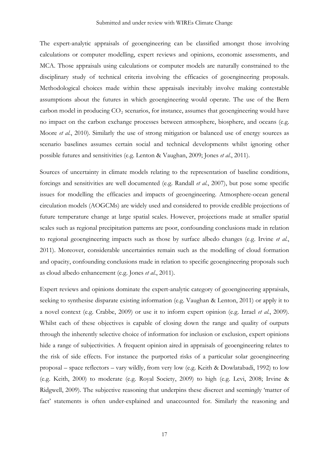The expert-analytic appraisals of geoengineering can be classified amongst those involving calculations or computer modelling, expert reviews and opinions, economic assessments, and MCA. Those appraisals using calculations or computer models are naturally constrained to the disciplinary study of technical criteria involving the efficacies of geoengineering proposals. Methodological choices made within these appraisals inevitably involve making contestable assumptions about the futures in which geoengineering would operate. The use of the Bern carbon model in producing CO<sub>2</sub> scenarios, for instance, assumes that geoengineering would have no impact on the carbon exchange processes between atmosphere, biosphere, and oceans (e.g. Moore *et al.*, 2010). Similarly the use of strong mitigation or balanced use of energy sources as scenario baselines assumes certain social and technical developments whilst ignoring other possible futures and sensitivities (e.g. Lenton & Vaughan, 2009; Jones *et al.*, 2011).

Sources of uncertainty in climate models relating to the representation of baseline conditions, forcings and sensitivities are well documented (e.g. Randall *et al.*, 2007), but pose some specific issues for modelling the efficacies and impacts of geoengineering. Atmosphere-ocean general circulation models (AOGCMs) are widely used and considered to provide credible projections of future temperature change at large spatial scales. However, projections made at smaller spatial scales such as regional precipitation patterns are poor, confounding conclusions made in relation to regional geoengineering impacts such as those by surface albedo changes (e.g. Irvine *et al.*, 2011). Moreover, considerable uncertainties remain such as the modelling of cloud formation and opacity, confounding conclusions made in relation to specific geoengineering proposals such as cloud albedo enhancement (e.g. Jones *et al.*, 2011).

Expert reviews and opinions dominate the expert-analytic category of geoengineering appraisals, seeking to synthesise disparate existing information (e.g. Vaughan & Lenton, 2011) or apply it to a novel context (e.g. Crabbe, 2009) or use it to inform expert opinion (e.g. Izrael *et al.*, 2009). Whilst each of these objectives is capable of closing down the range and quality of outputs through the inherently selective choice of information for inclusion or exclusion, expert opinions hide a range of subjectivities. A frequent opinion aired in appraisals of geoengineering relates to the risk of side effects. For instance the purported risks of a particular solar geoengineering proposal – space reflectors – vary wildly, from very low (e.g. Keith & Dowlatabadi, 1992) to low (e.g. Keith, 2000) to moderate (e.g. Royal Society, 2009) to high (e.g. Levi, 2008; Irvine & Ridgwell, 2009). The subjective reasoning that underpins these discreet and seemingly 'matter of fact' statements is often under-explained and unaccounted for. Similarly the reasoning and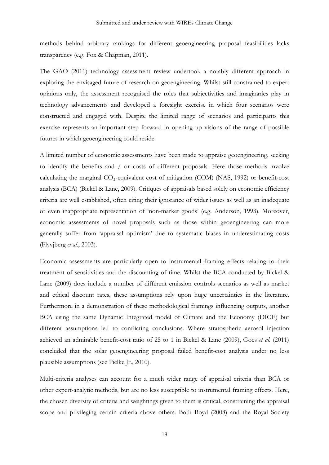methods behind arbitrary rankings for different geoengineering proposal feasibilities lacks transparency (e.g. Fox & Chapman, 2011).

The GAO (2011) technology assessment review undertook a notably different approach in exploring the envisaged future of research on geoengineering. Whilst still constrained to expert opinions only, the assessment recognised the roles that subjectivities and imaginaries play in technology advancements and developed a foresight exercise in which four scenarios were constructed and engaged with. Despite the limited range of scenarios and participants this exercise represents an important step forward in opening up visions of the range of possible futures in which geoengineering could reside.

A limited number of economic assessments have been made to appraise geoengineering, seeking to identify the benefits and / or costs of different proposals. Here those methods involve calculating the marginal  $CO_2$ -equivalent cost of mitigation (COM) (NAS, 1992) or benefit-cost analysis (BCA) (Bickel & Lane, 2009). Critiques of appraisals based solely on economic efficiency criteria are well established, often citing their ignorance of wider issues as well as an inadequate or even inappropriate representation of 'non-market goods' (e.g. Anderson, 1993). Moreover, economic assessments of novel proposals such as those within geoengineering can more generally suffer from 'appraisal optimism' due to systematic biases in underestimating costs (Flyvjberg *et al.*, 2003).

Economic assessments are particularly open to instrumental framing effects relating to their treatment of sensitivities and the discounting of time. Whilst the BCA conducted by Bickel & Lane (2009) does include a number of different emission controls scenarios as well as market and ethical discount rates, these assumptions rely upon huge uncertainties in the literature. Furthermore in a demonstration of these methodological framings influencing outputs, another BCA using the same Dynamic Integrated model of Climate and the Economy (DICE) but different assumptions led to conflicting conclusions. Where stratospheric aerosol injection achieved an admirable benefit-cost ratio of 25 to 1 in Bickel & Lane (2009), Goes *et al.* (2011) concluded that the solar geoengineering proposal failed benefit-cost analysis under no less plausible assumptions (see Pielke Jr., 2010).

Multi-criteria analyses can account for a much wider range of appraisal criteria than BCA or other expert-analytic methods, but are no less susceptible to instrumental framing effects. Here, the chosen diversity of criteria and weightings given to them is critical, constraining the appraisal scope and privileging certain criteria above others. Both Boyd (2008) and the Royal Society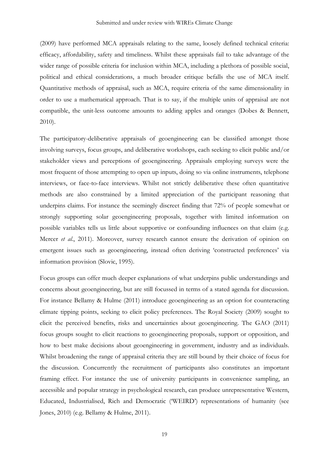(2009) have performed MCA appraisals relating to the same, loosely defined technical criteria: efficacy, affordability, safety and timeliness. Whilst these appraisals fail to take advantage of the wider range of possible criteria for inclusion within MCA, including a plethora of possible social, political and ethical considerations, a much broader critique befalls the use of MCA itself. Quantitative methods of appraisal, such as MCA, require criteria of the same dimensionality in order to use a mathematical approach. That is to say, if the multiple units of appraisal are not compatible, the unit-less outcome amounts to adding apples and oranges (Dobes & Bennett, 2010).

The participatory-deliberative appraisals of geoengineering can be classified amongst those involving surveys, focus groups, and deliberative workshops, each seeking to elicit public and/or stakeholder views and perceptions of geoengineering. Appraisals employing surveys were the most frequent of those attempting to open up inputs, doing so via online instruments, telephone interviews, or face-to-face interviews. Whilst not strictly deliberative these often quantitative methods are also constrained by a limited appreciation of the participant reasoning that underpins claims. For instance the seemingly discreet finding that 72% of people somewhat or strongly supporting solar geoengineering proposals, together with limited information on possible variables tells us little about supportive or confounding influences on that claim (e.g. Mercer *et al.*, 2011). Moreover, survey research cannot ensure the derivation of opinion on emergent issues such as geoengineering, instead often deriving 'constructed preferences' via information provision (Slovic, 1995).

Focus groups can offer much deeper explanations of what underpins public understandings and concerns about geoengineering, but are still focussed in terms of a stated agenda for discussion. For instance Bellamy & Hulme (2011) introduce geoengineering as an option for counteracting climate tipping points, seeking to elicit policy preferences. The Royal Society (2009) sought to elicit the perceived benefits, risks and uncertainties about geoengineering. The GAO (2011) focus groups sought to elicit reactions to geoengineering proposals, support or opposition, and how to best make decisions about geoengineering in government, industry and as individuals. Whilst broadening the range of appraisal criteria they are still bound by their choice of focus for the discussion. Concurrently the recruitment of participants also constitutes an important framing effect. For instance the use of university participants in convenience sampling, an accessible and popular strategy in psychological research, can produce unrepresentative Western, Educated, Industrialised, Rich and Democratic ('WEIRD') representations of humanity (see Jones, 2010) (e.g. Bellamy & Hulme, 2011).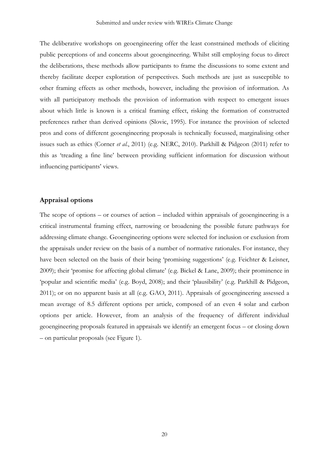The deliberative workshops on geoengineering offer the least constrained methods of eliciting public perceptions of and concerns about geoengineering. Whilst still employing focus to direct the deliberations, these methods allow participants to frame the discussions to some extent and thereby facilitate deeper exploration of perspectives. Such methods are just as susceptible to other framing effects as other methods, however, including the provision of information. As with all participatory methods the provision of information with respect to emergent issues about which little is known is a critical framing effect, risking the formation of constructed preferences rather than derived opinions (Slovic, 1995). For instance the provision of selected pros and cons of different geoengineering proposals is technically focussed, marginalising other issues such as ethics (Corner *et al.*, 2011) (e.g. NERC, 2010). Parkhill & Pidgeon (2011) refer to this as 'treading a fine line' between providing sufficient information for discussion without influencing participants' views.

# **Appraisal options**

The scope of options – or courses of action – included within appraisals of geoengineering is a critical instrumental framing effect, narrowing or broadening the possible future pathways for addressing climate change. Geoengineering options were selected for inclusion or exclusion from the appraisals under review on the basis of a number of normative rationales. For instance, they have been selected on the basis of their being 'promising suggestions' (e.g. Feichter & Leisner, 2009); their 'promise for affecting global climate' (e.g. Bickel & Lane, 2009); their prominence in 'popular and scientific media' (e.g. Boyd, 2008); and their 'plausibility' (e.g. Parkhill & Pidgeon, 2011); or on no apparent basis at all (e.g. GAO, 2011). Appraisals of geoengineering assessed a mean average of 8.5 different options per article, composed of an even 4 solar and carbon options per article. However, from an analysis of the frequency of different individual geoengineering proposals featured in appraisals we identify an emergent focus – or closing down – on particular proposals (see Figure 1).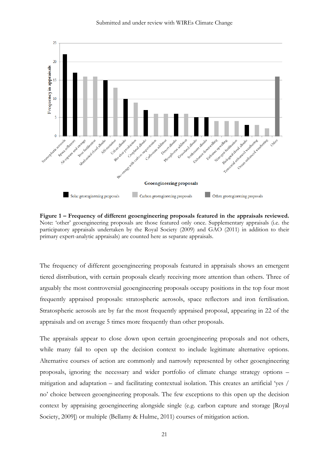

Submitted and under review with WIREs Climate Change

**Figure 1 – Frequency of different geoengineering proposals featured in the appraisals reviewed.**  Note: 'other' geoengineering proposals are those featured only once. Supplementary appraisals (i.e. the participatory appraisals undertaken by the Royal Society (2009) and GAO (2011) in addition to their primary expert-analytic appraisals) are counted here as separate appraisals.

The frequency of different geoengineering proposals featured in appraisals shows an emergent tiered distribution, with certain proposals clearly receiving more attention than others. Three of arguably the most controversial geoengineering proposals occupy positions in the top four most frequently appraised proposals: stratospheric aerosols, space reflectors and iron fertilisation. Stratospheric aerosols are by far the most frequently appraised proposal, appearing in 22 of the appraisals and on average 5 times more frequently than other proposals.

The appraisals appear to close down upon certain geoengineering proposals and not others, while many fail to open up the decision context to include legitimate alternative options. Alternative courses of action are commonly and narrowly represented by other geoengineering proposals, ignoring the necessary and wider portfolio of climate change strategy options – mitigation and adaptation – and facilitating contextual isolation. This creates an artificial 'yes / no' choice between geoengineering proposals. The few exceptions to this open up the decision context by appraising geoengineering alongside single (e.g. carbon capture and storage [Royal Society, 2009]) or multiple (Bellamy & Hulme, 2011) courses of mitigation action.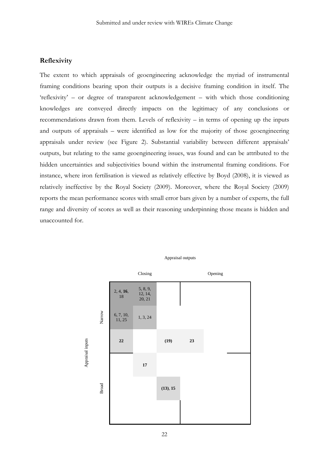# **Reflexivity**

The extent to which appraisals of geoengineering acknowledge the myriad of instrumental framing conditions bearing upon their outputs is a decisive framing condition in itself. The 'reflexivity' – or degree of transparent acknowledgement – with which those conditioning knowledges are conveyed directly impacts on the legitimacy of any conclusions or recommendations drawn from them. Levels of reflexivity – in terms of opening up the inputs and outputs of appraisals – were identified as low for the majority of those geoengineering appraisals under review (see Figure 2). Substantial variability between different appraisals' outputs, but relating to the same geoengineering issues, was found and can be attributed to the hidden uncertainties and subjectivities bound within the instrumental framing conditions. For instance, where iron fertilisation is viewed as relatively effective by Boyd (2008), it is viewed as relatively ineffective by the Royal Society (2009). Moreover, where the Royal Society (2009) reports the mean performance scores with small error bars given by a number of experts, the full range and diversity of scores as well as their reasoning underpinning those means is hidden and unaccounted for.



#### Appraisal outputs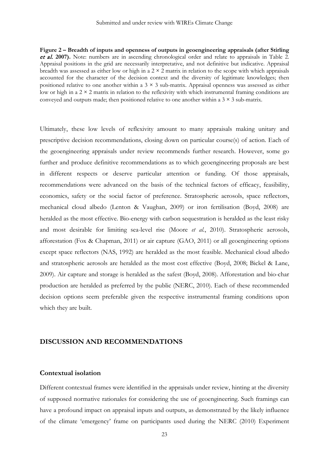**Figure 2 – Breadth of inputs and openness of outputs in geoengineering appraisals (after Stirling**  et al. **2007).** Note: numbers are in ascending chronological order and relate to appraisals in Table 2. Appraisal positions in the grid are necessarily interpretative, and not definitive but indicative. Appraisal breadth was assessed as either low or high in a  $2 \times 2$  matrix in relation to the scope with which appraisals accounted for the character of the decision context and the diversity of legitimate knowledges; then positioned relative to one another within a  $3 \times 3$  sub-matrix. Appraisal openness was assessed as either low or high in a  $2 \times 2$  matrix in relation to the reflexivity with which instrumental framing conditions are conveyed and outputs made; then positioned relative to one another within a  $3 \times 3$  sub-matrix.

Ultimately, these low levels of reflexivity amount to many appraisals making unitary and prescriptive decision recommendations, closing down on particular course(s) of action. Each of the geoengineering appraisals under review recommends further research. However, some go further and produce definitive recommendations as to which geoengineering proposals are best in different respects or deserve particular attention or funding. Of those appraisals, recommendations were advanced on the basis of the technical factors of efficacy, feasibility, economics, safety or the social factor of preference. Stratospheric aerosols, space reflectors, mechanical cloud albedo (Lenton & Vaughan, 2009) or iron fertilisation (Boyd, 2008) are heralded as the most effective. Bio-energy with carbon sequestration is heralded as the least risky and most desirable for limiting sea-level rise (Moore *et al.*, 2010). Stratospheric aerosols, afforestation (Fox & Chapman, 2011) or air capture (GAO, 2011) or all geoengineering options except space reflectors (NAS, 1992) are heralded as the most feasible. Mechanical cloud albedo and stratospheric aerosols are heralded as the most cost effective (Boyd, 2008; Bickel & Lane, 2009). Air capture and storage is heralded as the safest (Boyd, 2008). Afforestation and bio-char production are heralded as preferred by the public (NERC, 2010). Each of these recommended decision options seem preferable given the respective instrumental framing conditions upon which they are built.

# **DISCUSSION AND RECOMMENDATIONS**

#### **Contextual isolation**

Different contextual frames were identified in the appraisals under review, hinting at the diversity of supposed normative rationales for considering the use of geoengineering. Such framings can have a profound impact on appraisal inputs and outputs, as demonstrated by the likely influence of the climate 'emergency' frame on participants used during the NERC (2010) Experiment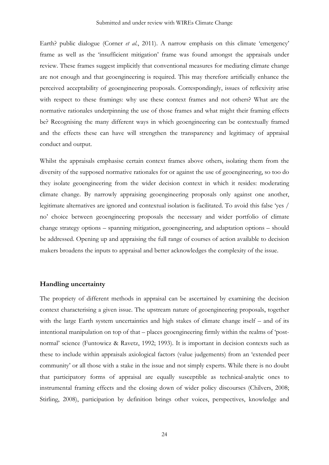Earth? public dialogue (Corner *et al.*, 2011). A narrow emphasis on this climate 'emergency' frame as well as the 'insufficient mitigation' frame was found amongst the appraisals under review. These frames suggest implicitly that conventional measures for mediating climate change are not enough and that geoengineering is required. This may therefore artificially enhance the perceived acceptability of geoengineering proposals. Correspondingly, issues of reflexivity arise with respect to these framings: why use these context frames and not others? What are the normative rationales underpinning the use of those frames and what might their framing effects be? Recognising the many different ways in which geoengineering can be contextually framed and the effects these can have will strengthen the transparency and legitimacy of appraisal conduct and output.

Whilst the appraisals emphasise certain context frames above others, isolating them from the diversity of the supposed normative rationales for or against the use of geoengineering, so too do they isolate geoengineering from the wider decision context in which it resides: moderating climate change. By narrowly appraising geoengineering proposals only against one another, legitimate alternatives are ignored and contextual isolation is facilitated. To avoid this false 'yes / no' choice between geoengineering proposals the necessary and wider portfolio of climate change strategy options – spanning mitigation, geoengineering, and adaptation options – should be addressed. Opening up and appraising the full range of courses of action available to decision makers broadens the inputs to appraisal and better acknowledges the complexity of the issue.

# **Handling uncertainty**

The propriety of different methods in appraisal can be ascertained by examining the decision context characterising a given issue. The upstream nature of geoengineering proposals, together with the large Earth system uncertainties and high stakes of climate change itself – and of its intentional manipulation on top of that – places geoengineering firmly within the realms of 'postnormal' science (Funtowicz & Ravetz, 1992; 1993). It is important in decision contexts such as these to include within appraisals axiological factors (value judgements) from an 'extended peer community' or all those with a stake in the issue and not simply experts. While there is no doubt that participatory forms of appraisal are equally susceptible as technical-analytic ones to instrumental framing effects and the closing down of wider policy discourses (Chilvers, 2008; Stirling, 2008), participation by definition brings other voices, perspectives, knowledge and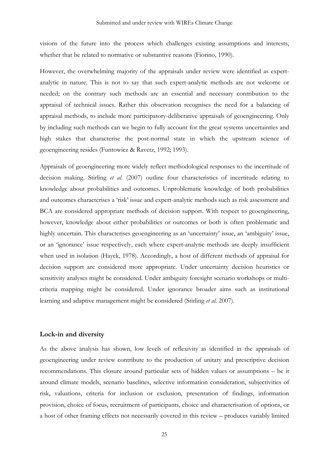visions of the future into the process which challenges existing assumptions and interests, whether that be related to normative or substantive reasons (Fiorino, 1990).

However, the overwhelming majority of the appraisals under review were identified as expertanalytic in nature. This is not to say that such expert-analytic methods are not welcome or needed; on the contrary such methods are an essential and necessary contribution to the appraisal of technical issues. Rather this observation recognises the need for a balancing of appraisal methods, to include more participatory-deliberative appraisals of geoengineering. Only by including such methods can we begin to fully account for the great systems uncertainties and high stakes that characterise the post-normal state in which the upstream science of geoengineering resides (Funtowicz & Ravetz, 1992; 1993).

Appraisals of geoengineering more widely reflect methodological responses to the incertitude of decision making. Stirling *et al.* (2007) outline four characteristics of incertitude relating to knowledge about probabilities and outcomes. Unproblematic knowledge of both probabilities and outcomes characterises a 'risk' issue and expert-analytic methods such as risk assessment and BCA are considered appropriate methods of decision support. With respect to geoengineering, however, knowledge about either probabilities or outcomes or both is often problematic and highly uncertain. This characterises geoengineering as an 'uncertainty' issue, an 'ambiguity' issue, or an 'ignorance' issue respectively, each where expert-analytic methods are deeply insufficient when used in isolation (Hayek, 1978). Accordingly, a host of different methods of appraisal for decision support are considered more appropriate. Under uncertainty decision heuristics or sensitivity analyses might be considered. Under ambiguity foresight scenario workshops or multicriteria mapping might be considered. Under ignorance broader aims such as institutional learning and adaptive management might be considered (Stirling *et al.* 2007).

## **Lock-in and diversity**

As the above analysis has shown, low levels of reflexivity as identified in the appraisals of geoengineering under review contribute to the production of unitary and prescriptive decision recommendations. This closure around particular sets of hidden values or assumptions – be it around climate models, scenario baselines, selective information consideration, subjectivities of risk, valuations, criteria for inclusion or exclusion, presentation of findings, information provision, choice of focus, recruitment of participants, choice and characterisation of options, or a host of other framing effects not necessarily covered in this review – produces variably limited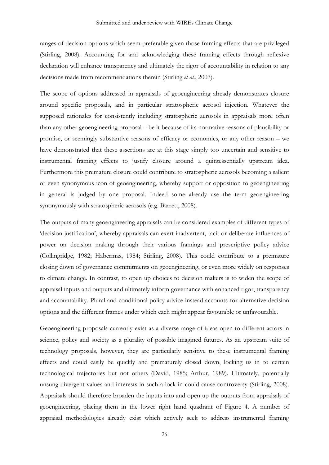ranges of decision options which seem preferable given those framing effects that are privileged (Stirling, 2008). Accounting for and acknowledging these framing effects through reflexive declaration will enhance transparency and ultimately the rigor of accountability in relation to any decisions made from recommendations therein (Stirling *et al.*, 2007).

The scope of options addressed in appraisals of geoengineering already demonstrates closure around specific proposals, and in particular stratospheric aerosol injection. Whatever the supposed rationales for consistently including stratospheric aerosols in appraisals more often than any other geoengineering proposal – be it because of its normative reasons of plausibility or promise, or seemingly substantive reasons of efficacy or economics, or any other reason – we have demonstrated that these assertions are at this stage simply too uncertain and sensitive to instrumental framing effects to justify closure around a quintessentially upstream idea. Furthermore this premature closure could contribute to stratospheric aerosols becoming a salient or even synonymous icon of geoengineering, whereby support or opposition to geoengineering in general is judged by one proposal. Indeed some already use the term geoengineering synonymously with stratospheric aerosols (e.g. Barrett, 2008).

The outputs of many geoengineering appraisals can be considered examples of different types of 'decision justification', whereby appraisals can exert inadvertent, tacit or deliberate influences of power on decision making through their various framings and prescriptive policy advice (Collingridge, 1982; Habermas, 1984; Stirling, 2008). This could contribute to a premature closing down of governance commitments on geoengineering, or even more widely on responses to climate change. In contrast, to open up choices to decision makers is to widen the scope of appraisal inputs and outputs and ultimately inform governance with enhanced rigor, transparency and accountability. Plural and conditional policy advice instead accounts for alternative decision options and the different frames under which each might appear favourable or unfavourable.

Geoengineering proposals currently exist as a diverse range of ideas open to different actors in science, policy and society as a plurality of possible imagined futures. As an upstream suite of technology proposals, however, they are particularly sensitive to these instrumental framing effects and could easily be quickly and prematurely closed down, locking us in to certain technological trajectories but not others (David, 1985; Arthur, 1989). Ultimately, potentially unsung divergent values and interests in such a lock-in could cause controversy (Stirling, 2008). Appraisals should therefore broaden the inputs into and open up the outputs from appraisals of geoengineering, placing them in the lower right hand quadrant of Figure 4. A number of appraisal methodologies already exist which actively seek to address instrumental framing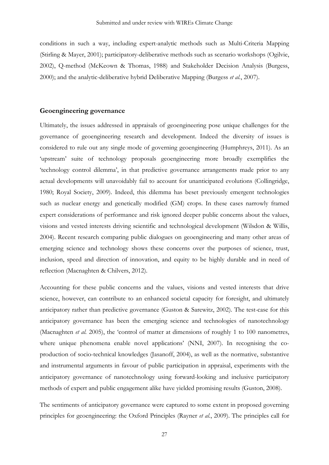conditions in such a way, including expert-analytic methods such as Multi-Criteria Mapping (Stirling & Mayer, 2001); participatory-deliberative methods such as scenario workshops (Ogilvie, 2002), Q-method (McKeown & Thomas, 1988) and Stakeholder Decision Analysis (Burgess, 2000); and the analytic-deliberative hybrid Deliberative Mapping (Burgess *et al.*, 2007).

# **Geoengineering governance**

Ultimately, the issues addressed in appraisals of geoengineering pose unique challenges for the governance of geoengineering research and development. Indeed the diversity of issues is considered to rule out any single mode of governing geoengineering (Humphreys, 2011). As an 'upstream' suite of technology proposals geoengineering more broadly exemplifies the 'technology control dilemma', in that predictive governance arrangements made prior to any actual developments will unavoidably fail to account for unanticipated evolutions (Collingridge, 1980; Royal Society, 2009). Indeed, this dilemma has beset previously emergent technologies such as nuclear energy and genetically modified (GM) crops. In these cases narrowly framed expert considerations of performance and risk ignored deeper public concerns about the values, visions and vested interests driving scientific and technological development (Wilsdon & Willis, 2004). Recent research comparing public dialogues on geoengineering and many other areas of emerging science and technology shows these concerns over the purposes of science, trust, inclusion, speed and direction of innovation, and equity to be highly durable and in need of reflection (Macnaghten & Chilvers, 2012).

Accounting for these public concerns and the values, visions and vested interests that drive science, however, can contribute to an enhanced societal capacity for foresight, and ultimately anticipatory rather than predictive governance (Guston & Sarewitz, 2002). The test-case for this anticipatory governance has been the emerging science and technologies of nanotechnology (Macnaghten *et al.* 2005), the 'control of matter at dimensions of roughly 1 to 100 nanometres, where unique phenomena enable novel applications' (NNI, 2007). In recognising the coproduction of socio-technical knowledges (Jasanoff, 2004), as well as the normative, substantive and instrumental arguments in favour of public participation in appraisal, experiments with the anticipatory governance of nanotechnology using forward-looking and inclusive participatory methods of expert and public engagement alike have yielded promising results (Guston, 2008).

The sentiments of anticipatory governance were captured to some extent in proposed governing principles for geoengineering: the Oxford Principles (Rayner *et al.*, 2009). The principles call for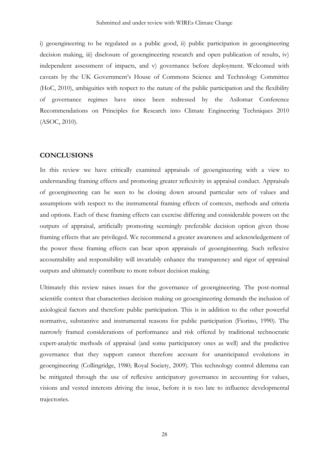i) geoengineering to be regulated as a public good, ii) public participation in geoengineering decision making, iii) disclosure of geoengineering research and open publication of results, iv) independent assessment of impacts, and v) governance before deployment. Welcomed with caveats by the UK Government's House of Commons Science and Technology Committee (HoC, 2010), ambiguities with respect to the nature of the public participation and the flexibility of governance regimes have since been redressed by the Asilomar Conference Recommendations on Principles for Research into Climate Engineering Techniques 2010 (ASOC, 2010).

# **CONCLUSIONS**

In this review we have critically examined appraisals of geoengineering with a view to understanding framing effects and promoting greater reflexivity in appraisal conduct. Appraisals of geoengineering can be seen to be closing down around particular sets of values and assumptions with respect to the instrumental framing effects of contexts, methods and criteria and options. Each of these framing effects can exercise differing and considerable powers on the outputs of appraisal, artificially promoting seemingly preferable decision option given those framing effects that are privileged. We recommend a greater awareness and acknowledgement of the power these framing effects can bear upon appraisals of geoengineering. Such reflexive accountability and responsibility will invariably enhance the transparency and rigor of appraisal outputs and ultimately contribute to more robust decision making.

Ultimately this review raises issues for the governance of geoengineering. The post-normal scientific context that characterises decision making on geoengineering demands the inclusion of axiological factors and therefore public participation. This is in addition to the other powerful normative, substantive and instrumental reasons for public participation (Fiorino, 1990). The narrowly framed considerations of performance and risk offered by traditional technocratic expert-analytic methods of appraisal (and some participatory ones as well) and the predictive governance that they support cannot therefore account for unanticipated evolutions in geoengineering (Collingridge, 1980; Royal Society, 2009). This technology control dilemma can be mitigated through the use of reflexive anticipatory governance in accounting for values, visions and vested interests driving the issue, before it is too late to influence developmental trajectories.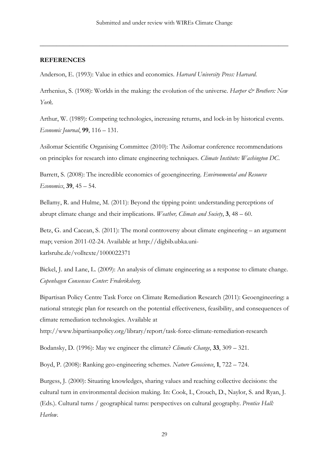\_\_\_\_\_\_\_\_\_\_\_\_\_\_\_\_\_\_\_\_\_\_\_\_\_\_\_\_\_\_\_\_\_\_\_\_\_\_\_\_\_\_\_\_\_\_\_\_\_\_\_\_\_\_\_\_\_\_\_\_\_\_\_\_\_\_\_\_\_\_\_\_\_\_\_

# **REFERENCES**

Anderson, E. (1993): Value in ethics and economics. *Harvard University Press: Harvard*.

Arrhenius, S. (1908): Worlds in the making: the evolution of the universe. *Harper & Brothers: New York*.

Arthur, W. (1989): Competing technologies, increasing returns, and lock-in by historical events. *Economic Journal*, **99**, 116 – 131.

Asilomar Scientific Organising Committee (2010): The Asilomar conference recommendations on principles for research into climate engineering techniques. *Climate Institute: Washington DC*.

Barrett, S. (2008): The incredible economics of geoengineering. *Environmental and Resource Economics*, **39**, 45 – 54.

Bellamy, R. and Hulme, M. (2011): Beyond the tipping point: understanding perceptions of abrupt climate change and their implications. *Weather, Climate and Society*, **3**, 48 – 60.

Betz, G. and Cacean, S. (2011): The moral controversy about climate engineering – an argument map; version 2011-02-24. Available at http://digbib.ubka.unikarlsruhe.de/volltexte/1000022371

Bickel, J. and Lane, L. (2009): An analysis of climate engineering as a response to climate change. *Copenhagen Consensus Center: Frederiksberg*.

Bipartisan Policy Centre Task Force on Climate Remediation Research (2011): Geoengineering: a national strategic plan for research on the potential effectiveness, feasibility, and consequences of climate remediation technologies. Available at

http://www.bipartisanpolicy.org/library/report/task-force-climate-remediation-research

Bodansky, D. (1996): May we engineer the climate? *Climatic Change*, **33**, 309 – 321.

Boyd, P. (2008): Ranking geo-engineering schemes. *Nature Geoscience*, **1**, 722 – 724.

Burgess, J. (2000): Situating knowledges, sharing values and reaching collective decisions: the cultural turn in environmental decision making. In: Cook, I., Crouch, D., Naylor, S. and Ryan, J. (Eds.). Cultural turns / geographical turns: perspectives on cultural geography. *Prentice Hall: Harlow*.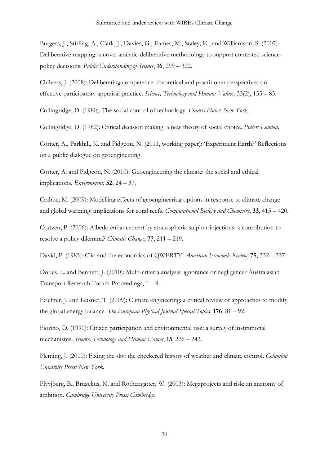Burgess, J., Stirling, A., Clark, J., Davies, G., Eames, M., Staley, K., and Williamson, S. (2007): Deliberative mapping: a novel analytic-deliberative methodology to support contested sciencepolicy decisions. *Public Understanding of Science*, **16**, 299 – 322.

Chilvers, J. (2008): Deliberating competence: theoretical and practitioner perspectives on effective participatory appraisal practice. *Science, Technology and Human Values,* 33(2), 155 – 85.

Collingridge, D. (1980): The social control of technology. *Francis Pinter: New York*.

Collingridge, D. (1982): Critical decision making: a new theory of social choice. *Pinter: London*.

Corner, A., Parkhill, K. and Pidgeon, N. (2011, working paper): 'Experiment Earth?' Reflections on a public dialogue on geoengineering.

Corner, A. and Pidgeon, N. (2010): Geoengineering the climate: the social and ethical implications. *Environment*, **52**, 24 – 37.

Crabbe, M. (2009): Modelling effects of geoengineering options in response to climate change and global warming: implications for coral reefs. *Computational Biology and Chemistry*, **33**, 415 – 420.

Crutzen, P. (2006): Albedo enhancement by stratospheric sulphur injections: a contribution to resolve a policy dilemma? *Climatic Change*, **77**, 211 – 219.

David, P. (1985): Clio and the economics of QWERTY. *American Economic Review*, **75**, 332 – 337.

Dobes, L. and Bennett, J. (2010): Multi-criteria analysis: ignorance or negligence? Australasian Transport Research Forum Proceedings, 1 – 9.

Feichter, J. and Leisner, T. (2009): Climate engineering: a critical review of approaches to modify the global energy balance. *The European Physical Journal Special Topics*, **176**, 81 – 92.

Fiorino, D. (1990): Citizen participation and environmental risk: a survey of institutional mechanisms. *Science, Technology and Human Values*, **15**, 226 – 243.

Fleming, J. (2010): Fixing the sky: the checkered history of weather and climate control. *Columbia University Press: New York*.

Flyvjberg, B., Bruzelius, N. and Rothengatter, W. (2003): Megaprojects and risk: an anatomy of ambition. *Cambridge University Press: Cambridge*.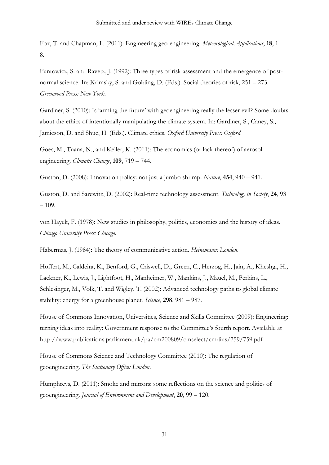Fox, T. and Chapman, L. (2011): Engineering geo-engineering. *Meteorological Applications*, **18**, 1 – 8.

Funtowicz, S. and Ravetz, J. (1992): Three types of risk assessment and the emergence of postnormal science. In: Krimsky, S. and Golding, D. (Eds.). Social theories of risk, 251 – 273. *Greenwood Press: New York*.

Gardiner, S. (2010): Is 'arming the future' with geoengineering really the lesser evil? Some doubts about the ethics of intentionally manipulating the climate system. In: Gardiner, S., Caney, S., Jamieson, D. and Shue, H. (Eds.). Climate ethics. *Oxford University Press: Oxford*.

Goes, M., Tuana, N., and Keller, K. (2011): The economics (or lack thereof) of aerosol engineering. *Climatic Change*, **109**, 719 – 744.

Guston, D. (2008): Innovation policy: not just a jumbo shrimp. *Nature*, **454**, 940 – 941.

Guston, D. and Sarewitz, D. (2002): Real-time technology assessment. *Technology in Society*, **24**, 93 – 109.

von Hayek, F. (1978): New studies in philosophy, politics, economics and the history of ideas. *Chicago University Press: Chicago*.

Habermas, J. (1984): The theory of communicative action. *Heinemann: London*.

[Hoffert,](http://www.sciencemag.org/search?author1=Martin+I.+Hoffert&sortspec=date&submit=Submit) M., [Caldeira,](http://www.sciencemag.org/search?author1=Ken+Caldeira&sortspec=date&submit=Submit) K., [Benford,](http://www.sciencemag.org/search?author1=Gregory+Benford&sortspec=date&submit=Submit) G., [Criswell,](http://www.sciencemag.org/search?author1=David+R.+Criswell&sortspec=date&submit=Submit) D., [Green,](http://www.sciencemag.org/search?author1=Christopher+Green&sortspec=date&submit=Submit) C., [Herzog,](http://www.sciencemag.org/search?author1=Howard+Herzog&sortspec=date&submit=Submit) H., [Jain,](http://www.sciencemag.org/search?author1=Atul+K.+Jain&sortspec=date&submit=Submit) A., [Kheshgi,](http://www.sciencemag.org/search?author1=Haroon+S.+Kheshgi&sortspec=date&submit=Submit) H., [Lackner,](http://www.sciencemag.org/search?author1=Klaus+S.+Lackner&sortspec=date&submit=Submit) K., [Lewis,](http://www.sciencemag.org/search?author1=John+S.+Lewis&sortspec=date&submit=Submit) J., [Lightfoot,](http://www.sciencemag.org/search?author1=H.+Douglas+Lightfoot&sortspec=date&submit=Submit) H., [Manheimer,](http://www.sciencemag.org/search?author1=Wallace+Manheimer&sortspec=date&submit=Submit) W., [Mankins,](http://www.sciencemag.org/search?author1=John+C.+Mankins&sortspec=date&submit=Submit) J., [Mauel,](http://www.sciencemag.org/search?author1=Michael+E.+Mauel&sortspec=date&submit=Submit) M., [Perkins,](http://www.sciencemag.org/search?author1=L.+John+Perkins&sortspec=date&submit=Submit) L., [Schlesinger,](http://www.sciencemag.org/search?author1=Michael+E.+Schlesinger&sortspec=date&submit=Submit) M., [Volk,](http://www.sciencemag.org/search?author1=Tyler+Volk&sortspec=date&submit=Submit) T. and [Wigley,](http://www.sciencemag.org/search?author1=Tom+M.+L.+Wigley&sortspec=date&submit=Submit) T. (2002): Advanced technology paths to global climate stability: energy for a greenhouse planet. *Science*, **298**, 981 – 987.

House of Commons Innovation, Universities, Science and Skills Committee (2009): Engineering: turning ideas into reality: Government response to the Committee's fourth report. Available at http://www.publications.parliament.uk/pa/cm200809/cmselect/cmdius/759/759.pdf

House of Commons Science and Technology Committee (2010): The regulation of geoengineering. *The Stationary Office: London*.

Humphreys, D. (2011): Smoke and mirrors: some reflections on the science and politics of geoengineering. *Journal of Environment and Development*, **20**, 99 – 120.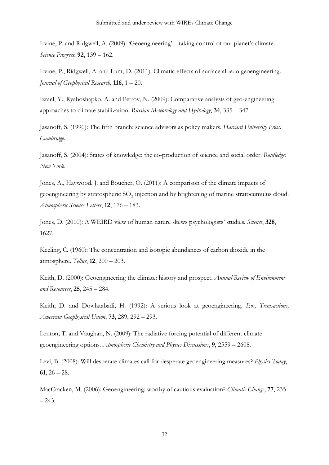Irvine, P. and Ridgwell, A. (2009): 'Geoengineering' – taking control of our planet's climate. *Science Progress*, **92**, 139 – 162.

Irvine, P., Ridgwell, A. and Lunt, D. (2011): Climatic effects of surface albedo geoengineering. *Journal of Geophysical Research*, **116**, 1 – 20.

Izrael, Y., Ryaboshapko, A. and Petrov, N. (2009): Comparative analysis of geo-engineering approaches to climate stabilization. *Russian Meteorology and Hydrology*, **34**, 335 – 347.

Jasanoff, S. (1990): The fifth branch: science advisors as policy makers. *Harvard University Press: Cambridge*.

Jasanoff, S. (2004): States of knowledge: the co-production of science and social order. *Routledge: New York*.

Jones, A., Haywood, J. and Boucher, O. (2011): A comparison of the climate impacts of geoengineering by stratospheric SO<sub>2</sub> injection and by brightening of marine stratocumulus cloud. *Atmospheric Science Letters*, **12**, 176 – 183.

Jones, D. (2010): A WEIRD view of human nature skews psychologists' studies. *Science*, **328**, 1627.

Keeling, C. (1960): The concentration and isotopic abundances of carbon dioxide in the atmosphere. *Tellus*, **12**, 200 – 203.

Keith, D. (2000): Geoengineering the climate: history and prospect. *Annual Review of Environment and Resources*, **25**, 245 – 284.

Keith, D. and Dowlatabadi, H. (1992): A serious look at geoengineering. *Eos, Transactions, American Geophysical Union*, **73**, 289, 292 – 293.

Lenton, T. and Vaughan, N. (2009): The radiative forcing potential of different climate geoengineering options. *Atmospheric Chemistry and Physics Discussions*, **9**, 2559 – 2608.

Levi, B. (2008): Will desperate climates call for desperate geoengineering measures? *Physics Today*, **61**, 26 – 28.

MacCracken, M. (2006): Geoengineering: worthy of cautious evaluation? *Climatic Change*, **77**, 235 – 243.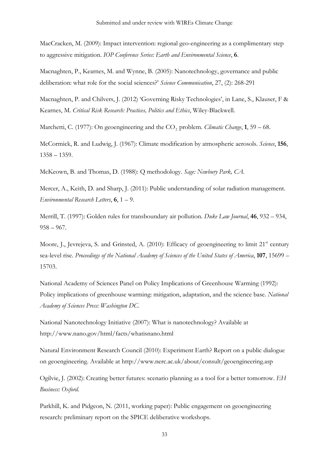MacCracken, M. (2009): Impact intervention: regional geo-engineering as a complimentary step to aggressive mitigation. *IOP Conference Series: Earth and Environmental Science*, **6**.

Macnaghten, P., Kearnes, M. and Wynne, B. (2005): Nanotechnology, governance and public deliberation: what role for the social sciences?' *Science Communication*, 27, (2): 268-291

Macnaghten, P. and Chilvers, J. (2012) 'Governing Risky Technologies', in Lane, S., Klauser, F & Kearnes, M. *Critical Risk Research: Practices, Politics and Ethics*, Wiley-Blackwell.

Marchetti, C. (1977): On geoengineering and the CO<sub>2</sub> problem. *Climatic Change*, **1**, 59 – 68.

McCormick, R. and Ludwig, J. (1967): Climate modification by atmospheric aerosols. *Science*, **156**, 1358 – 1359.

McKeown, B. and Thomas, D. (1988): Q methodology. *Sage: Newbury Park, CA*.

Mercer, A., Keith, D. and Sharp, J. (2011): Public understanding of solar radiation management. *Environmental Research Letters*, **6**, 1 – 9.

Merrill, T. (1997): Golden rules for transboundary air pollution. *Duke Law Journal*, **46**, 932 – 934, 958 – 967.

Moore, J., Jevrejeva, S. and Grinsted, A. (2010): Efficacy of geoengineering to limit 21<sup>st</sup> century sea-level rise. *Proceedings of the National Academy of Sciences of the United States of America*, **107**, 15699 – 15703.

National Academy of Sciences Panel on Policy Implications of Greenhouse Warming (1992): Policy implications of greenhouse warming: mitigation, adaptation, and the science base. *National Academy of Sciences Press: Washington DC*.

National Nanotechnology Initiative (2007): What is nanotechnology? Available at http://www.nano.gov/html/facts/whatisnano.html

Natural Environment Research Council (2010): Experiment Earth? Report on a public dialogue on geoengineering. Available at http://www.nerc.ac.uk/about/consult/geoengineering.asp

Ogilvie, J. (2002): Creating better futures: scenario planning as a tool for a better tomorrow. *EH Business: Oxford*.

Parkhill, K. and Pidgeon, N. (2011, working paper): Public engagement on geoengineering research: preliminary report on the SPICE deliberative workshops.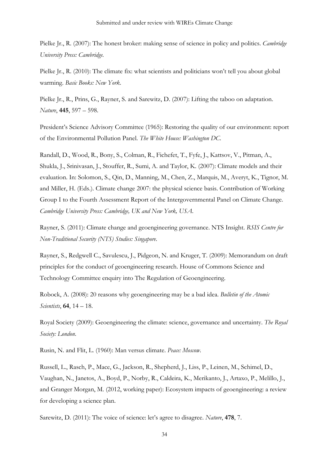Pielke Jr., R. (2007): The honest broker: making sense of science in policy and politics. *Cambridge University Press: Cambridge.*

Pielke Jr., R. (2010): The climate fix: what scientists and politicians won't tell you about global warming. *Basic Books: New York*.

Pielke Jr., R., Prins, G., Rayner, S. and Sarewitz, D. (2007): Lifting the taboo on adaptation. *Nature*, **445**, 597 – 598.

President's Science Advisory Committee (1965): Restoring the quality of our environment: report of the Environmental Pollution Panel. *The White House: Washington DC*.

Randall, D., Wood, R., Bony, S., Colman, R., Fichefet, T., Fyfe, J., Kattsov, V., Pitman, A., Shukla, J., Srinivasan, J., Stouffer, R., Sumi, A. and Taylor, K. (2007): Climate models and their evaluation. In: Solomon, S., Qin, D., Manning, M., Chen, Z., Marquis, M., Averyt, K., Tignor, M. and Miller, H. (Eds.). Climate change 2007: the physical science basis. Contribution of Working Group I to the Fourth Assessment Report of the Intergovernmental Panel on Climate Change. *Cambridge University Press: Cambridge, UK and New York, USA*.

Rayner, S. (2011): Climate change and geoengineering governance. NTS Insight. *RSIS Centre for Non-Traditional Security (NTS) Studies: Singapore*.

Rayner, S., Redgwell C., Savulescu, J., Pidgeon, N. and Kruger, T. (2009): Memorandum on draft principles for the conduct of geoengineering research. House of Commons Science and Technology Committee enquiry into The Regulation of Geoengineering.

Robock, A. (2008): 20 reasons why geoengineering may be a bad idea. *Bulletin of the Atomic Scientists*, **64**, 14 – 18.

Royal Society (2009): Geoengineering the climate: science, governance and uncertainty. *The Royal Society: London*.

Rusin, N. and Flit, L. (1960): Man versus climate. *Peace: Moscow*.

Russell, L., Rasch, P., Mace, G., Jackson, R., Shepherd, J., Liss, P., Leinen, M., Schimel, D., Vaughan, N., Janetos, A., Boyd, P., Norby, R., Caldeira, K., Merikanto, J., Artaxo, P., Melillo, J., and Granger Morgan, M. (2012, working paper): Ecosystem impacts of geoengineering: a review for developing a science plan.

Sarewitz, D. (2011): The voice of science: let's agree to disagree. *Nature*, **478**, 7.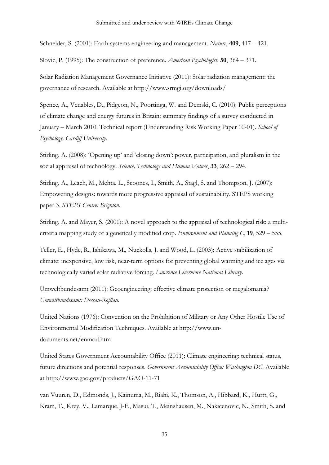Schneider, S. (2001): Earth systems engineering and management. *Nature*, **409**, 417 – 421.

Slovic, P. (1995): The construction of preference. *American Psychologist*, **50**, 364 – 371.

Solar Radiation Management Governance Initiative (2011): Solar radiation management: the governance of research. Available at http://www.srmgi.org/downloads/

Spence, A., Venables, D., Pidgeon, N., Poortinga, W. and Demski, C. (2010): Public perceptions of climate change and energy futures in Britain: summary findings of a survey conducted in January – March 2010. Technical report (Understanding Risk Working Paper 10-01). *School of Psychology, Cardiff University*.

Stirling, A. (2008): 'Opening up' and 'closing down': power, participation, and pluralism in the social appraisal of technology. *Science, Technology and Human Values*, **33**, 262 – 294.

Stirling, A., Leach, M., Mehta, L., Scoones, I., Smith, A., Stagl, S. and Thompson, J. (2007): Empowering designs: towards more progressive appraisal of sustainability. STEPS working paper 3, *STEPS Centre: Brighton*.

Stirling, A. and Mayer, S. (2001): A novel approach to the appraisal of technological risk: a multicriteria mapping study of a genetically modified crop. *Environment and Planning C*, **19**, 529 – 555.

Teller, E., Hyde, R., Ishikawa, M., Nuckolls, J. and Wood, L. (2003): Active stabilization of climate: inexpensive, low risk, near-term options for preventing global warming and ice ages via technologically varied solar radiative forcing. *Lawrence Livermore National Library*.

Umweltbundesamt (2011): Geoengineering: effective climate protection or megalomania? *Umweltbundesamt: Dessau-Roßlau*.

United Nations (1976): Convention on the Prohibition of Military or Any Other Hostile Use of Environmental Modification Techniques. Available at http://www.undocuments.net/enmod.htm

United States Government Accountability Office (2011): Climate engineering: technical status, future directions and potential responses. *Government Accountability Office: Washington DC*. Available at http://www.gao.gov/products/GAO-11-71

van Vuuren, D., Edmonds, J., Kainuma, M., Riahi, K., Thomson, A., Hibbard, K., Hurtt, G., Kram, T., Krey, V., Lamarque, J-F., Masui, T., Meinshausen, M., Nakicenovic, N., Smith, S. and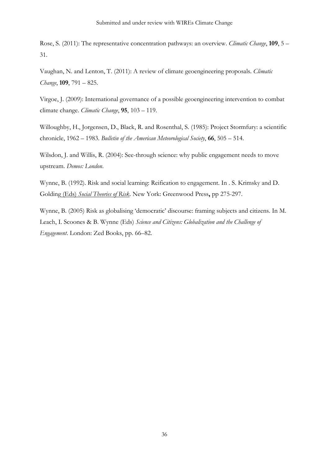Rose, S. (2011): The representative concentration pathways: an overview. *Climatic Change*, **109**, 5 – 31.

Vaughan, N. and Lenton, T. (2011): A review of climate geoengineering proposals. *Climatic Change*, **109**, 791 – 825.

Virgoe, J. (2009): International governance of a possible geoengineering intervention to combat climate change. *Climatic Change*, **95**, 103 – 119.

Willoughby, H., Jorgensen, D., Black, R. and Rosenthal, S. (1985): Project Stormfury: a scientific chronicle, 1962 – 1983. *Bulletin of the American Meteorological Society*, **66** , 505 – 514.

Wilsdon, J. and Willis, R. (2004): See-through science: why public engagement needs to move upstream. *Demos: London*.

Wynne, B. (1992). Risk and social learning: Reification to engagement. In . S. Krimsky and D. Golding (Eds) *Social Theories of Risk* . New York: Greenwood Press**,** pp 275-297.

Wynne, B. (2005) Risk as globalising 'democratic' discourse: framing subjects and citizens. In M. Leach, I. Scoones & B. Wynne (Eds) *Science and Citizens: Globalization and the Challenge of Engagement*. London: Zed Books, pp. 66–82.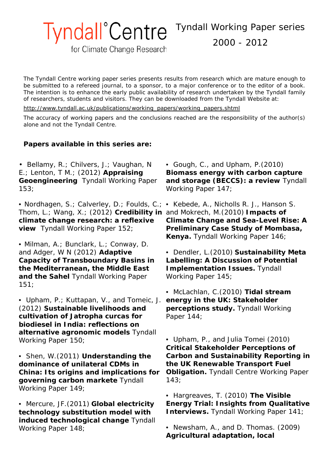Tyndall Working Paper series

2000 - 2012

for Climate Change Research

**Tyndall**<sup>°</sup>Centre

*The Tyndall Centre working paper series presents results from research which are mature enough to be submitted to a refereed journal, to a sponsor, to a major conference or to the editor of a book. The intention is to enhance the early public availability of research undertaken by the Tyndall family of researchers, students and visitors. They can be downloaded from the Tyndall Website at:*

*[http://www.tyndall.ac.uk/publications/working\\_papers/working\\_papers.shtml](http://www.tyndall.ac.uk/publications/working_papers/working_papers.shtml)*

*The accuracy of working papers and the conclusions reached are the responsibility of the author(s) alone and not the Tyndall Centre.*

# **Papers available in this series are:**

• Bellamy, R.; Chilvers, J.; Vaughan, N E.; Lenton, T M.; (2012) **Appraising Geoengineering** Tyndall Working Paper 153;

• Nordhagen, S.; Calverley, D.; Foulds, C.; • Kebede, A., Nicholls R. J., Hanson S. Thom, L.; Wang, X.; (2012) **Credibility in**  and Mokrech, M.(2010) **Impacts of climate change research: a reflexive view** Tyndall Working Paper 152;

• Milman, A.; Bunclark, L.; Conway, D. and Adger, W N (2012) **Adaptive Capacity of Transboundary Basins in the Mediterranean, the Middle East and the Sahel** Tyndall Working Paper 151;

• Upham, P.; Kuttapan, V., and Tomeic, J. (2012) **Sustainable livelihoods and cultivation of Jatropha curcas for biodiesel in India: reflections on alternative agronomic models** Tyndall Working Paper 150;

• Shen, W.(2011) **Understanding the dominance of unilateral CDMs in China: Its origins and implications for governing carbon markete** Tyndall Working Paper 149;

• Mercure, JF.(2011) **Global electricity technology substitution model with induced technological change** Tyndall Working Paper 148;

• Gough, C., and Upham, P.(2010) **Biomass energy with carbon capture and storage (BECCS): a review** Tyndall Working Paper 147;

**Climate Change and Sea-Level Rise: A Preliminary Case Study of Mombasa, Kenya.** Tyndall Working Paper 146;

• Dendler, L.(2010) **Sustainability Meta Labelling: A Discussion of Potential Implementation Issues.** Tyndall Working Paper 145;

• McLachlan, C.(2010) **Tidal stream energy in the UK: Stakeholder perceptions study.** Tyndall Working Paper 144;

• Upham, P., and Julia Tomei (2010) **Critical Stakeholder Perceptions of Carbon and Sustainability Reporting in the UK Renewable Transport Fuel Obligation.** Tyndall Centre Working Paper 143;

• Hargreaves, T. (2010) **The Visible Energy Trial: Insights from Qualitative Interviews.** Tyndall Working Paper 141;

• Newsham, A., and D. Thomas. (2009) **Agricultural adaptation, local**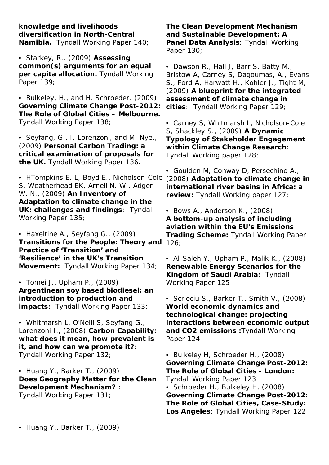**knowledge and livelihoods diversification in North-Central Namibia.** Tyndall Working Paper 140;

• Starkey, R.. (2009) **Assessing common(s) arguments for an equal per capita allocation.** Tyndall Working Paper 139;

• Bulkeley, H., and H. Schroeder. (2009) **Governing Climate Change Post-2012: The Role of Global Cities – Melbourne.** Tyndall Working Paper 138;

• Seyfang, G., I. Lorenzoni, and M. Nye., (2009) **Personal Carbon Trading: a critical examination of proposals for the UK.** Tyndall Working Paper 136**.**

• HTompkins E. L, Boyd E., Nicholson-Cole S, Weatherhead EK, Arnell N. W., Adger W. N., (2009) **An Inventory of Adaptation to climate change in the UK: challenges and findings**: Tyndall Working Paper 135;

• Haxeltine A., Seyfang G., (2009) **Transitions for the People: Theory and**  126; **Practice of 'Transition' and 'Resilience' in the UK's Transition Movement:** Tyndall Working Paper 134;

• Tomei J., Upham P., (2009) **Argentinean soy based biodiesel: an introduction to production and impacts:** Tyndall Working Paper 133;

• Whitmarsh L, O'Neill S, Seyfang G., Lorenzoni I., (2008) **Carbon Capability: what does it mean, how prevalent is it, and how can we promote it?**: Tyndall Working Paper 132;

• Huang Y., Barker T., (2009) **Does Geography Matter for the Clean Development Mechanism?** : Tyndall Working Paper 131;

**The Clean Development Mechanism and Sustainable Development: A Panel Data Analysis**: Tyndall Working Paper 130;

• Dawson R., Hall J, Barr S, Batty M., Bristow A, Carney S, Dagoumas, A., Evans S., Ford A, Harwatt H., Kohler J., Tight M, (2009) **A blueprint for the integrated assessment of climate change in cities**: Tyndall Working Paper 129;

• Carney S, Whitmarsh L, Nicholson-Cole S, Shackley S., (2009) **A Dynamic Typology of Stakeholder Engagement within Climate Change Research**: Tyndall Working paper 128;

• Goulden M, Conway D, Persechino A., (2008) **Adaptation to climate change in international river basins in Africa: a review:** Tyndall Working paper 127;

• Bows A., Anderson K., (2008) **A bottom-up analysis of including aviation within the EU's Emissions Trading Scheme:** Tyndall Working Paper

• Al-Saleh Y., Upham P., Malik K., (2008) **Renewable Energy Scenarios for the Kingdom of Saudi Arabia:** Tyndall Working Paper 125

• Scrieciu S., Barker T., Smith V., (2008) **World economic dynamics and technological change: projecting interactions between economic output and CO2 emissions :**Tyndall Working Paper 124

• Bulkeley H, Schroeder H., (2008) **Governing Climate Change Post-2012: The Role of Global Cities - London:** Tyndall Working Paper 123 • Schroeder H., Bulkeley H, (2008) **Governing Climate Change Post-2012: The Role of Global Cities, Case-Study: Los Angeles**: Tyndall Working Paper 122

• Huang Y., Barker T., (2009)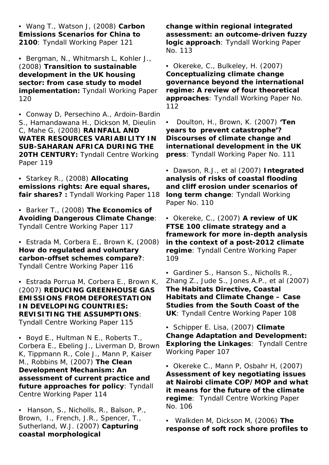• Wang T., Watson J, (2008) **Carbon Emissions Scenarios for China to 2100**: Tyndall Working Paper 121

• Bergman, N., Whitmarsh L, Kohler J., (2008) **Transition to sustainable development in the UK housing sector: from case study to model implementation:** Tyndall Working Paper 120

• Conway D, Persechino A., Ardoin-Bardin S., Hamandawana H., Dickson M, Dieulin C, Mahe G, (2008) **RAINFALL AND WATER RESOURCES VARIABILITY IN SUB-SAHARAN AFRICA DURING THE 20TH CENTURY:** Tyndall Centre Working Paper 119

• Starkey R., (2008) **Allocating emissions rights: Are equal shares, fair shares? :** Tyndall Working Paper 118

• Barker T., (2008) **The Economics of Avoiding Dangerous Climate Change**: Tyndall Centre Working Paper 117

• Estrada M, Corbera E., Brown K, (2008) **How do regulated and voluntary carbon-offset schemes compare?**: Tyndall Centre Working Paper 116

• Estrada Porrua M, Corbera E., Brown K, (2007) **REDUCING GREENHOUSE GAS EMISSIONS FROM DEFORESTATION IN DEVELOPING COUNTRIES: REVISITING THE ASSUMPTIONS**: Tyndall Centre Working Paper 115

• Boyd E., Hultman N E., Roberts T., Corbera E., Ebeling J., Liverman D, Brown K, Tippmann R., Cole J., Mann P, Kaiser M., Robbins M, (2007) **The Clean Development Mechanism: An assessment of current practice and future approaches for policy**: Tyndall Centre Working Paper 114

• Hanson, S., Nicholls, R., Balson, P., Brown, I., French, J.R., Spencer, T., Sutherland, W.J. (2007) **Capturing coastal morphological** 

**change within regional integrated assessment: an outcome-driven fuzzy logic approach**: Tyndall Working Paper No. 113

• Okereke, C., Bulkeley, H. (2007) **Conceptualizing climate change governance beyond the international regime: A review of four theoretical approaches**: Tyndall Working Paper No. 112

• Doulton, H., Brown, K. (2007) **'Ten years to prevent catastrophe'? Discourses of climate change and international development in the UK press**: Tyndall Working Paper No. 111

• Dawson, R.J., et al (2007) **Integrated analysis of risks of coastal flooding and cliff erosion under scenarios of long term change**: Tyndall Working Paper No. 110

• Okereke, C., (2007) **A review of UK FTSE 100 climate strategy and a framework for more in-depth analysis in the context of a post-2012 climate regime**: Tyndall Centre Working Paper 109

• Gardiner S., Hanson S., Nicholls R., Zhang Z., Jude S., Jones A.P., et al (2007) **The Habitats Directive, Coastal Habitats and Climate Change – Case Studies from the South Coast of the UK**: Tyndall Centre Working Paper 108

• Schipper E. Lisa, (2007) **Climate Change Adaptation and Development: Exploring the Linkages**: Tyndall Centre Working Paper 107

• Okereke C., Mann P, Osbahr H, (2007) **Assessment of key negotiating issues at Nairobi climate COP/MOP and what it means for the future of the climate regime**: Tyndall Centre Working Paper No. 106

• Walkden M, Dickson M, (2006) **The response of soft rock shore profiles to**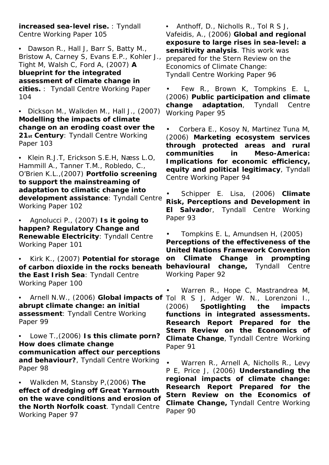**increased sea-level rise.** : Tyndall Centre Working Paper 105

• Dawson R., Hall J, Barr S, Batty M., Bristow A, Carney S, Evans E.P., Kohler J., Tight M, Walsh C, Ford A, (2007) **A blueprint for the integrated assessment of climate change in cities.** : Tyndall Centre Working Paper 104

• Dickson M., Walkden M., Hall J., (2007) **Modelling the impacts of climate change on an eroding coast over the 21st Century**: Tyndall Centre Working Paper 103

• Klein R.J.T, Erickson S.E.H, Næss L.O, Hammill A., Tanner T.M., Robledo, C., O'Brien K.L.,(2007) **Portfolio screening to support the mainstreaming of adaptation to climatic change into development assistance**: Tyndall Centre Working Paper 102

• Agnolucci P., (2007) **Is it going to happen? Regulatory Change and Renewable Electricity**: Tyndall Centre Working Paper 101

• Kirk K., (2007) **Potential for storage of carbon dioxide in the rocks beneath the East Irish Sea**: Tyndall Centre Working Paper 100

**abrupt climate change: an initial assessment**: Tyndall Centre Working Paper 99

• Lowe T.,(2006) **Is this climate porn? How does climate change communication affect our perceptions and behaviour?**, Tyndall Centre Working Paper 98

• Walkden M, Stansby P,(2006) **The effect of dredging off Great Yarmouth on the wave conditions and erosion of the North Norfolk coast**. Tyndall Centre Working Paper 97

• Anthoff, D., Nicholls R., Tol R S J, Vafeidis, A., (2006) **Global and regional exposure to large rises in sea-level: a sensitivity analysis**. This work was prepared for the Stern Review on the Economics of Climate Change: Tyndall Centre Working Paper 96

• Few R., Brown K, Tompkins E. L, (2006) **Public participation and climate change adaptation**, Tyndall Centre Working Paper 95

• Corbera E., Kosoy N, Martinez Tuna M, (2006) **Marketing ecosystem services through protected areas and rural communities in Meso-America: Implications for economic efficiency, equity and political legitimacy**, Tyndall Centre Working Paper 94

• Schipper E. Lisa, (2006) **Climate Risk, Perceptions and Development in El Salvado**r, Tyndall Centre Working Paper 93

• Tompkins E. L, Amundsen H, (2005) **Perceptions of the effectiveness of the United Nations Framework Convention on Climate Change in prompting behavioural change,** Tyndall Centre Working Paper 92

• Arnell N.W., (2006) **Global impacts of**  Tol R S J, Adger W. N., Lorenzoni I., • Warren R., Hope C, Mastrandrea M, (2006) **Spotlighting the impacts functions in integrated assessments. Research Report Prepared for the Stern Review on the Economics of Climate Change**, Tyndall Centre Working Paper 91

> • Warren R., Arnell A, Nicholls R., Levy P E, Price J, (2006) **Understanding the regional impacts of climate change: Research Report Prepared for the Stern Review on the Economics of Climate Change,** Tyndall Centre Working Paper 90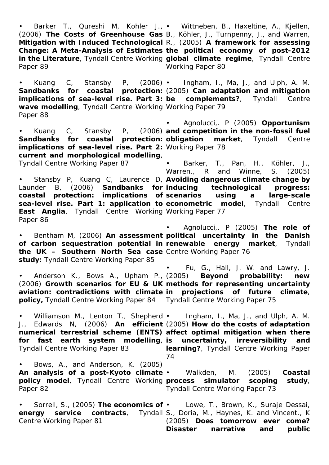• Barker T., Qureshi M, Kohler J., • Wittneben, B., Haxeltine, A., Kjellen, (2006) **The Costs of Greenhouse Gas**  B., Köhler, J., Turnpenny, J., and Warren, **Mitigation with Induced Technological**  R., (2005) **A framework for assessing Change: A Meta-Analysis of Estimates the political economy of post-2012 in the Literature**, Tyndall Centre Working **global climate regime**, Tyndall Centre Paper 89

**wave modelling**, Tyndall Centre Working Working Paper 79 Paper 88

Sandbanks for coastal protection: obligation **implications of sea-level rise. Part 2:**  Working Paper 78 **current and morphological modelling**, Tyndall Centre Working Paper 87

**East Anglia**, Tyndall Centre Working Working Paper 77 Paper 86

**the UK – Southern North Sea case**  Centre Working Paper 76 **study:** Tyndall Centre Working Paper 85

Anderson K., Bows A., Upham P., (2005) **policy,** Tyndall Centre Working Paper 84 Tyndall Centre Working Paper 75

Tyndall Centre Working Paper 83

• Bentham M, (2006) **An assessment political uncertainty in the Danish of carbon sequestration potential in renewable energy market**, Tyndall • Agnolucci,. P (2005) **The role of** 

(2006) **Growth scenarios for EU & UK methods for representing uncertainty aviation: contradictions with climate in projections of future climate**, • Fu, G., Hall, J. W. and Lawry, J. (2005) **Beyond probability: new** 

Williamson M., Lenton T., Shepherd • J., Edwards N, (2006) **An efficient**  (2005) **How do the costs of adaptation numerical terrestrial scheme (ENTS) affect optimal mitigation when there**  for fast earth system modelling, is uncertainty, irreversibility and • Ingham, I., Ma, J., and Ulph, A. M. **learning?**, Tyndall Centre Working Paper 74

• Bows, A., and Anderson, K. (2005) **An analysis of a post-Kyoto climate**  • Walkden, M. (2005) **Coastal policy model**, Tyndall Centre Working Paper 82 simulator scoping study, Tyndall Centre Working Paper 73

• Sorrell, S., (2005) **The economics of**  • Lowe, T., Brown, K., Suraje Dessai, **energy service contracts**, Tyndall S., Doria, M., Haynes, K. and Vincent., K Centre Working Paper 81 (2005) **Does tomorrow ever come? Disaster narrative and public** 

Working Paper 80

• Kuang C, Stansby P, (2006) • Ingham, I., Ma, J., and Ulph, A. M. **Sandbanks for coastal protection:**  (2005) **Can adaptation and mitigation** 

• Kuang C, Stansby P, (2006) **and competition in the non-fossil fuel**  • Agnolucci,. P (2005) **Opportunism**  market, Tyndall Centre

• Stansby P, Kuang C, Laurence D, **Avoiding dangerous climate change by**  Launder B, (2006) **Sandbanks for inducing technological progress: coastal protection: implications of scenarios using a large-scale sea-level rise. Part 1: application to econometric model**, Tyndall Centre • Barker, T., Pan, H., Köhler, J., Warren., R and Winne, S. (2005)

**implications of sea-level rise. Part 3: be complements?**, Tyndall Centre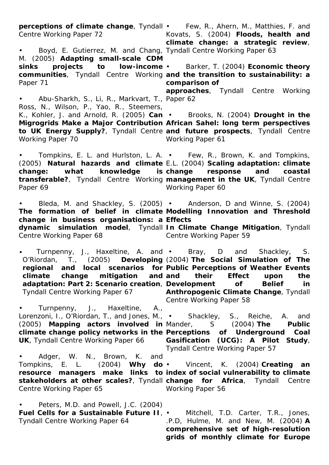**perceptions of climate change**, Tyndall • Few, R., Ahern, M., Matthies, F. and Centre Working Paper 72 • Boyd, E. Gutierrez, M. and Chang, Tyndall Centre Working Paper 63 M. (2005) **Adapting small-scale CDM sinks projects to low-income**  • Barker, T. (2004) **Economic theory communities**, Tyndall Centre Working **and the transition to sustainability: a**  Paper 71 • Abu-Sharkh, S., Li, R., Markvart, T., Paper 62 Ross, N., Wilson, P., Yao, R., Steemers, K., Kohler, J. and Arnold, R. (2005) **Can**  • Brooks, N. (2004) **Drought in the Migrogrids Make a Major Contribution African Sahel: long term perspectives to UK Energy Supply?**, Tyndall Centre **and future prospects**, Tyndall Centre Working Paper 70 • Tompkins, E. L. and Hurlston, L. A. • Few, R., Brown, K. and Tompkins, (2005) **Natural hazards and climate**  E.L. (2004) **Scaling adaptation: climate**  change: what knowledge **transferable?**, Tyndall Centre Working **management in the UK**, Tyndall Centre Paper 69 • Bleda, M. and Shackley, S. (2005) • Anderson, D and Winne, S. (2004) **The formation of belief in climate Modelling Innovation and Threshold change in business organisations: a Effects dynamic simulation model**, Tyndall **In Climate Change Mitigation**, Tyndall Centre Working Paper 68 • Turnpenny, J., Haxeltine, A. and • Bray, D and Shackley, S. O'Riordan, T., (2005) **Developing**  (2004) **The Social Simulation of The regional and local scenarios for Public Perceptions of Weather Events climate change mitigation and adaptation: Part 2: Scenario creation**, **Development of Belief in**  Tyndall Centre Working Paper 67 • Turnpenny, J., Haxeltine, A., Lorenzoni, I., O'Riordan, T., and Jones, M., • Shackley, S., Reiche, A. and (2005) **Mapping actors involved in climate change policy networks in the Perceptions of Underground Coal UK**, Tyndall Centre Working Paper 66 Adger, W. N., Brown, K. and Tompkins, E. L. (2004) **Why do**  • Vincent, K. (2004) **Creating an resource managers make links to index of social vulnerability to climate stakeholders at other scales?**, Tyndall **change for Africa**, Tyndall Centre Centre Working Paper 65 • Peters, M.D. and Powell, J.C. (2004) **Fuel Cells for a Sustainable Future II**, • Mitchell, T.D. Carter, T.R., Jones, Tyndall Centre Working Paper 64 Kovats, S. (2004) **Floods, health and climate change: a strategic review**, **comparison of approaches**, Tyndall Centre Working Working Paper 61 **change response and coastal**  Working Paper 60 Centre Working Paper 59 **and their Effect upon the Anthropogenic Climate Change**, Tyndall Centre Working Paper 58 (2004) **The Public Gasification (UCG): A Pilot Study**, Tyndall Centre Working Paper 57 Working Paper 56 .P.D, Hulme, M. and New, M. (2004) **A comprehensive set of high-resolution** 

**grids of monthly climate for Europe**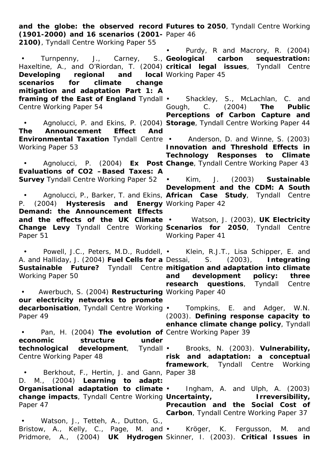and the globe: the observed record Futures to 2050, Tyndall Centre Working **(1901-2000) and 16 scenarios (2001-** Paper 46 **2100)**, Tyndall Centre Working Paper 55 • Turnpenny, J., Carney, S., **Geological carbon sequestration:**  Haxeltine, A., and O'Riordan, T. (2004) **critical legal issues**, Tyndall Centre **Developing regional and scenarios for climate change mitigation and adaptation Part 1: A framing of the East of England** Tyndall • Shackley, S., McLachlan, C. and Centre Working Paper 54 • Agnolucci, P. and Ekins, P. (2004) **Storage**, Tyndall Centre Working Paper 44 **The Announcement Effect And Environmental Taxation** Tyndall Centre • Anderson, D. and Winne, S. (2003) Working Paper 53 • Agnolucci, P. (2004) **Ex Post Change**, Tyndall Centre Working Paper 43 **Evaluations of CO2 –Based Taxes: A Survey** Tyndall Centre Working Paper 52 • Agnolucci, P., Barker, T. and Ekins, **African Case Study**, Tyndall Centre P. (2004) **Hysteresis and Energy**  Working Paper 42 **Demand: the Announcement Effects and the effects of the UK Climate**  • Watson, J. (2003), **UK Electricity Change Levy** Tyndall Centre Working **Scenarios for 2050**, Tyndall Centre Paper 51 • Powell, J.C., Peters, M.D., Ruddell, • Klein, R.J.T., Lisa Schipper, E. and A. and Halliday, J. (2004) **Fuel Cells for a**  Dessai, S. (2003), **Integrating Sustainable Future?** Tyndall Centre **mitigation and adaptation into climate**  Working Paper 50 • Awerbuch, S. (2004) **Restructuring**  Working Paper 40 **our electricity networks to promote decarbonisation**, Tyndall Centre Working Paper 49 • Pan, H. (2004) **The evolution of**  Centre Working Paper 39 **economic structure under technological development**, Tyndall • Brooks, N. (2003). **Vulnerability,**  Centre Working Paper 48 • Berkhout, F., Hertin, J. and Gann, Paper 38 D. M., (2004) **Learning to adapt: Organisational adaptation to climate**  • Ingham, A. and Ulph, A. (2003) **change impacts**, Tyndall Centre Working **Uncertainty, Irreversibility,**  Paper 47 • Watson, J., Tetteh, A., Dutton, G., Bristow, A., Kelly, C., Page, M. and • Kröger, K. Fergusson, M. and Pridmore, A., (2004) **UK Hydrogen**  Skinner, I. (2003). **Critical Issues in** • Purdy, R and Macrory, R. (2004) **Iocal** Working Paper 45 Gough, C. (2004) **The Public Perceptions of Carbon Capture and Innovation and Threshold Effects in Technology Responses to Climate**  • Kim, J. (2003) **Sustainable Development and the CDM: A South**  Working Paper 41 **and development policy: three research questions**, Tyndall Centre • Tompkins, E. and Adger, W.N. (2003). **Defining response capacity to enhance climate change policy**, Tyndall **risk and adaptation: a conceptual framework**, Tyndall Centre Working **Precaution and the Social Cost of Carbon**, Tyndall Centre Working Paper 37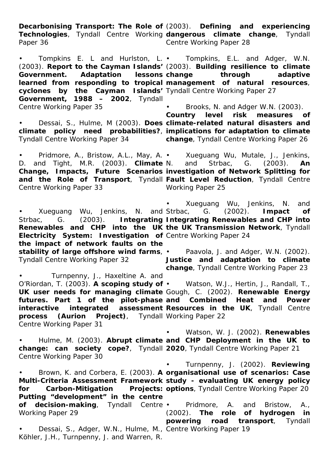**Decarbonising Transport: The Role of**  (2003). **Defining and experiencing Technologies**, Tyndall Centre Working **dangerous climate change**, Tyndall Paper 36 Centre Working Paper 28

• Tompkins E. L and Hurlston, L. • Tompkins, E.L. and Adger, W.N. (2003). **Report to the Cayman Islands'**  (2003). **Building resilience to climate Government. Adaptation lessons**  learned from responding to tropical management of natural resources, **cyclones by the Cayman Islands'**  Tyndall Centre Working Paper 27 **Government, 1988 – 2002**, Tyndall Centre Working Paper 35

• Dessai, S., Hulme, M (2003). **Does climate-related natural disasters and climate policy need probabilities?**, **implications for adaptation to climate**  Tyndall Centre Working Paper 34

• Pridmore, A., Bristow, A.L., May, A. • Xueguang Wu, Mutale, J., Jenkins, D. and Tight, M.R. (2003). **Climate Change, Impacts, Future Scenarios investigation of Network Splitting for and the Role of Transport**, Tyndall **Fault Level Reduction**, Tyndall Centre Centre Working Paper 33

• Xueguang Wu, Jenkins, N. and Strbac, G. (2003). **Integrating Integrating Renewables and CHP into Renewables and CHP into the UK the UK Transmission Network**, Tyndall **Electricity System: Investigation of**  Centre Working Paper 24 **the impact of network faults on the stability of large offshore wind farms**, • Paavola, J. and Adger, W.N. (2002). Tyndall Centre Working Paper 32

• Turnpenny, J., Haxeltine A. and **process (Aurion Project)**, Tyndall Working Paper 22 Centre Working Paper 31

**change through adaptive** 

• Brooks, N. and Adger W.N. (2003).

**Country level risk measures of change**, Tyndall Centre Working Paper 26

Strbac, G. (2003). **An** Working Paper 25

• Xueguang Wu, Jenkins, N. and G. (2002). **Impact of** 

**Justice and adaptation to climate change**, Tyndall Centre Working Paper 23

O'Riordan, T. (2003). **A scoping study of**  • Watson, W.J., Hertin, J., Randall, T., **UK user needs for managing climate**  Gough, C. (2002). **Renewable Energy futures. Part 1 of the pilot-phase and Combined Heat and Power interactive integrated assessment Resources in the UK**, Tyndall Centre

• Hulme, M. (2003). **Abrupt climate and CHP Deployment in the UK to change: can society cope?**, Tyndall **2020**, Tyndall Centre Working Paper 21 Centre Working Paper 30 • Watson, W. J. (2002). **Renewables** 

• Brown, K. and Corbera, E. (2003). **A organisational use of scenarios: Case Multi-Criteria Assessment Framework study - evaluating UK energy policy for Carbon-Mitigation Projects: options**, Tyndall Centre Working Paper 20 **Putting "development" in the centre of decision-making**, Tyndall Centre • Working Paper 29 • Turnpenny, J. (2002). **Reviewing**  • Pridmore, A. and Bristow, A., (2002). **The role of hydrogen in powering road transport**, Tyndall

• Dessai, S., Adger, W.N., Hulme, M., Centre Working Paper 19Köhler, J.H., Turnpenny, J. and Warren, R.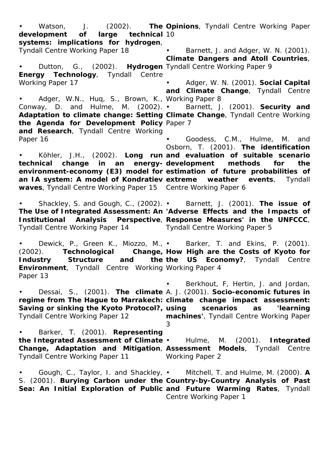• Watson, J. (2002). **The development of large technical**  10 **systems: implications for hydrogen**, Tyndall Centre Working Paper 18 • Dutton, G., (2002). **Hydrogen**  Tyndall Centre Working Paper 9 **Energy Technology**, Tyndall Centre Working Paper 17 • Adger, W.N., Huq, S., Brown, K., Working Paper 8 Conway, D. and Hulme, M. (2002). • **Adaptation to climate change: Setting Climate Change, Tyndall Centre Working the Agenda for Development Policy**  Paper 7 **and Research**, Tyndall Centre Working Paper 16 • Köhler, J.H., (2002). **Long run and evaluation of suitable scenario technical change in an energy-development methods for the**  environment-economy (E3) model for estimation of future probabilities of **an IA system: A model of Kondratiev extreme weather events, Tyndall waves**, Tyndall Centre Working Paper 15 Centre Working Paper 6 • Shackley, S. and Gough, C., (2002). • Barnett, J. (2001). **The issue of The Use of Integrated Assessment: An 'Adverse Effects and the Impacts of Institutional Analysis Perspective**, **Response Measures' in the UNFCCC**, Tyndall Centre Working Paper 14 • Dewick, P., Green K., Miozzo, M., • Barker, T. and Ekins, P. (2001). (2002). **Technological Industry Structure and the the US Economy?**, Tyndall Centre **Environment**, Tyndall Centre Working Working Paper 4 Paper 13 • Dessai, S., (2001). **The climate**  A. J. (2001). **Socio-economic futures in regime from The Hague to Marrakech: climate change impact assessment:**  Saving or sinking the Kyoto Protocol?, using scenarios as 'learning Tyndall Centre Working Paper 12 • Barker, T. (2001). **Representing the Integrated Assessment of Climate**  • Hulme, M. (2001). **Integrated Change, Adaptation and Mitigation**, **Assessment Models**, Tyndall Centre Tyndall Centre Working Paper 11 • Gough, C., Taylor, I. and Shackley, • Mitchell, T. and Hulme, M. (2000). **A** S. (2001). **Burying Carbon under the Country-by-Country Analysis of Past Sea: An Initial Exploration of Public and Future Warming Rates, Tyndall Opinions**, Tyndall Centre Working Paper Barnett, J. and Adger, W. N. (2001). **Climate Dangers and Atoll Countries**, • Adger, W. N. (2001). **Social Capital and Climate Change**, Tyndall Centre • Barnett, J. (2001). **Security and**  • Goodess, C.M., Hulme, M. and Osborn, T. (2001). **The identification**  Tyndall Centre Working Paper 5 Change, How High are the Costs of Kyoto for • Berkhout, F, Hertin, J. and Jordan, **machines'**, Tyndall Centre Working Paper 3 Working Paper 2 Centre Working Paper 1